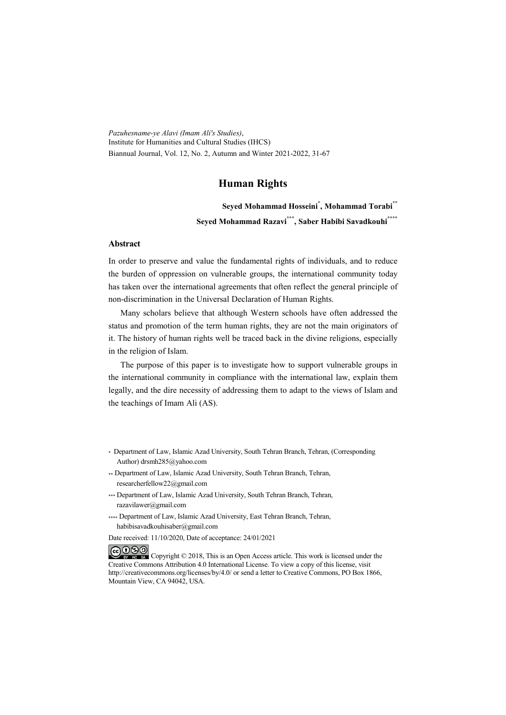*Pazuhesname-ye Alavi (Imam Ali's Studies)*, Institute for Humanities and Cultural Studies (IHCS) Biannual Journal, Vol. 12, No. 2, Autumn and Winter 2021-2022, 31-67

#### **Human Rights**

**Seyed Mohammad Hosseini\* , Mohammad Torabi\*\* Seyed Mohammad Razavi\*\*\* , Saber Habibi Savadkouhi\*\*\*\***

#### **Abstract**

In order to preserve and value the fundamental rights of individuals, and to reduce the burden of oppression on vulnerable groups, the international community today has taken over the international agreements that often reflect the general principle of non-discrimination in the Universal Declaration of Human Rights.

Many scholars believe that although Western schools have often addressed the status and promotion of the term human rights, they are not the main originators of it. The history of human rights well be traced back in the divine religions, especially in the religion of Islam.

The purpose of this paper is to investigate how to support vulnerable groups in the international community in compliance with the international law, explain them legally, and the dire necessity of addressing them to adapt to the views of Islam and the teachings of Imam Ali (AS).

- \* Department of Law, Islamic Azad University, South Tehran Branch, Tehran, (Corresponding Author) drsmh285@yahoo.com
- \*\* Department of Law, Islamic Azad University, South Tehran Branch, Tehran, researcherfellow22@gmail.com
- \*\*\* Department of Law, Islamic Azad University, South Tehran Branch, Tehran, razavilawer@gmail.com
- \*\*\*\* Department of Law, Islamic Azad University, East Tehran Branch, Tehran, habibisavadkouhisaber@gmail.com
- Date received: 11/10/2020, Date of acceptance: 24/01/2021

COOO Copyright © 2018, This is an Open Access article. This work is licensed under the Creative Commons Attribution 4.0 International License. To view a copy of this license, visit http://creativecommons.org/licenses/by/4.0/ or send a letter to Creative Commons, PO Box 1866, Mountain View, CA 94042, USA.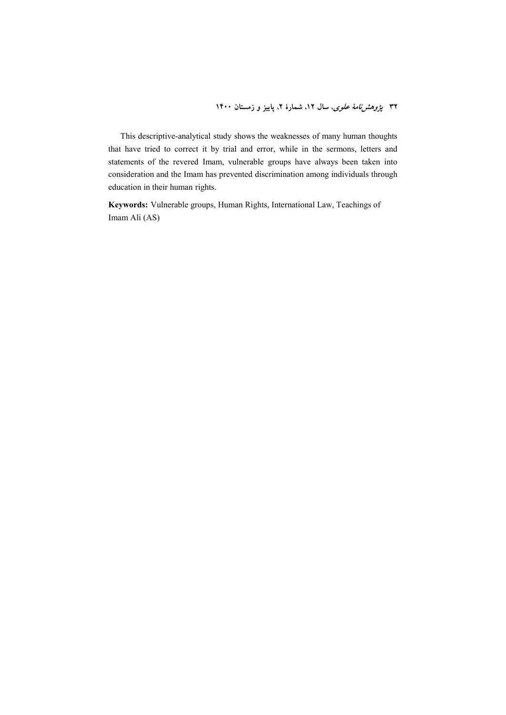۳۲ *پژوهشنامهٔ علوی*، سال ۱۲، شمارهٔ ۲، پاییز و زمستان ۱۴۰۰

This descriptive-analytical study shows the weaknesses of many human thoughts that have tried to correct it by trial and error, while in the sermons, letters and statements of the revered Imam, vulnerable groups have always been taken into consideration and the Imam has prevented discrimination among individuals through education in their human rights.

**Keywords:** Vulnerable groups, Human Rights, International Law, Teachings of Imam Ali (AS)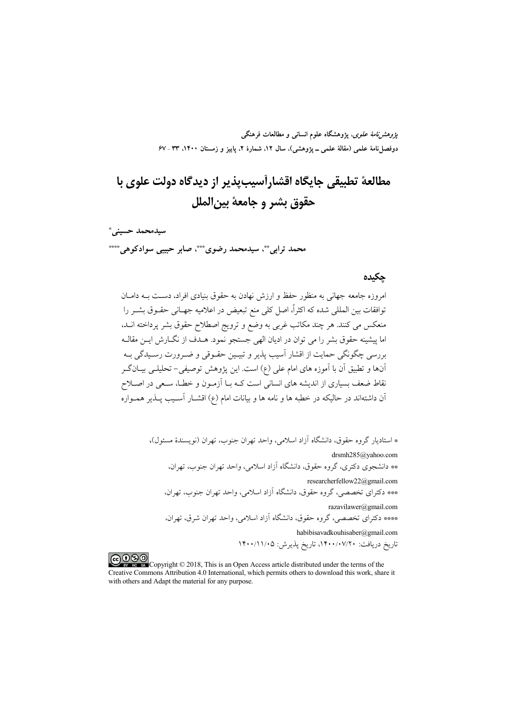*پژوهشنامهٔ علوی*، پژوهشگاه علوم انسانی و مطالعات فرهنگی دوفصلiاههٔ علمی (مقالهٔ علمی ــ پژوهشی)، سال ۱۲، شمارهٔ ۲، پاییز و زمستان ۱۴۰۰، ۳۳ ـ ۶۷

# مطالعهٔ تطبیقی جایگاه اقشارآسیبیذیر از دیدگاه دولت علوی با حقوق بشر و جامعهٔ بین الملل

سيدمحمد حسينى ً محمد ترابي \*\*، سيدمحمد رضوي \*\*\*، صابر حبيبي سوادكوهي \*\*\*\*

#### حكىدە

امروزه جامعه جهانی به منظور حفظ و ارزش نهادن به حقوق بنیادی افراد، دسـت بــه دامــان .<br>توافقات بین المللی شده که اکثراً، اصل کلی منع تبعیض در اعلامیه جهـانی حقـوق بشــر را منعکس می کنند. هر چند مکاتب غربی به وضع و ترویج اصطلاح حقوق بشر پرداخته انــد، اما پیشینه حقوق بشر را می توان در ادیان الهی جستجو نمود. هــدف از نگــارش ایــن مقالــه بررسي چگونگي حمايت از اقشار آسيب پذير و تبيـين حقـوقي و ضـرورت رسـيدگي بــه أنها و تطبیق أن با أموزه های امام علی (ع) است. این پژوهش توصیفی- تحلیلــی بیــانگــر نقاط ضعف بسیاری از اندیشه های انسانی است کــه بــا آزمــون و خطــا، ســعی در اصــلاح آن داشتهاند در حالیکه در خطبه ها و نامه ها و بیانات امام (ع) اقشــار آســیب پــذیر همــواره

> \* استادیار گروه حقوق، دانشگاه آزاد اسلامی، واحد تهران جنوب، تهران (نویسندهٔ مسئول)، drsmh285@vahoo.com \*\* دانشجوی دکتری، گروه حقوق، دانشگاه آزاد اسلامی، واحد تهران جنوب، تهران، researcherfellow22@gmail.com \*\*\* دکترای تخصصی، گروه حقوق، دانشگاه آزاد اسلامی، واحد تهران جنوب، تهران، razavilawer@gmail.com \*\*\* دکترای تخصصی، گروه حقوق، دانشگاه آزاد اسلامی، واحد تهران شرق، تهران، habibisavadkouhisaber@gmail.com

تاريخ دريافت: ١۴٠٠/٠٧/٢٠، تاريخ پذيرش: ١۴٠٠/١١/٠٥

COOD experience Copyright © 2018, This is an Open Access article distributed under the terms of the Creative Commons Attribution 4.0 International, which permits others to download this work, share it with others and Adapt the material for any purpose.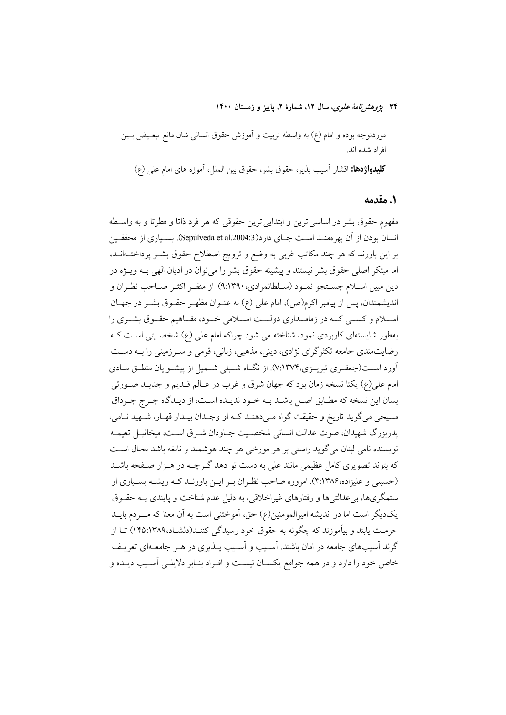۳۴ پژ*وهشرنامهٔ علوی*، سال ۱۲، شمارهٔ ۲، پاییز و زمستان ۱۴۰۰

موردتوجه بوده و امام (ع) به واسطه تربیت و آموزش حقوق انسانی شان مانع تبعـیض بــین افراد شده اند.

كليدواژهها: اقشار آسيب يذير، حقوق بشر، حقوق بين الملل، آموزه هاى امام على (ع)

#### ١. مقدمه

مفهوم حقوق بشر در اساسي ترين و ابتدايي ترين حقوقي كه هر فرد ذاتا و فطرتا و به واسـطه انسان بودن از آن بهرهمنـد اسـت جـای دارد(Sepúlveda et al.2004:3). بسـباری از محققـبن بر این باورند که هر چند مکاتب غربی به وضع و ترویج اصطلاح حقوق بشـر پرداختــهانــد، اما مبتکر اصلی حقوق بشر نیستند و پیشینه حقوق بشر را می توان در ادیان الهی بـه ویــژه در دين مبين اسـلام جسـتجو نمـود (سـلطانمرادي،١٣٩٠). از منظـر اكثـر صـاحب نظـران و اندیشمندان، پس از پیامبر اکرم(ص)، امام علی (ع) به عنـوان مظهـر حقـوق بشـر در جهـان اسلام و کسـی کـه در زمامـداري دولــت اسـلامي خـود، مفـاهيم حقـوق بشـري را بهطور شایستهای کاربردی نمود، شناخته می شود چراکه امام علی (ع) شخصـیتی اسـت کـه رضایتمندی جامعه تکثرگرای نژادی، دینی، مذهبی، زبانی، قومی و سـرزمینی را بـه دسـت آورد اســت(جعفـري تبريــزي،٧:١٣٧۴). از نگــاه شــبلي شــميل از پيشــوايان منطــق مــادي امام علي(ع) يكتا نسخه زمان بود كه جهان شرق و غرب در عـالم قــديم و جديــد صــورتـي بسان این نسخه که مطـابق اصـل باشـد بــه خــود ندیــده اســت، از دیــدگاه جــرج جــرداق مسيحي مي گويد تاريخ و حقيقت گواه مـي دهنـد كـه او وجـدان بيـدار قهـار، شـهيد نـامي، يدربزرگ شهيدان، صوت عدالت انساني شخصيت جــاودان شــرق اســت، ميخائيــل تعيمــه نویسنده نامی لبنان می گوید راستی بر هر مورخی هر چند هوشمند و نابغه باشد محال است که بتوند تصویری کامل عظیمی مانند علی به دست تو دهد گـرچــه در هــزار صــفحه باشــد (حسینی و علیزاده،۱۳۸۶:۴). امروزه صاحب نظران بـر ایـن باورنـد کـه ریشـه بسـیاری از ستمگریها، بی عدالتی ها و رفتارهای غیراخلاقی، به دلیل عدم شناخت و پایندی بـه حقــوق یکدیگر است اما در اندیشه امیرالمومنین(ع) حق، آموختنی است به آن معنا که مسردم بایــد حرمـت يابند و بيآموزند كه چگونه به حقوق خود رسيدگي كننــد(دلشــاد،١٣٨٩:١٣٥) تــا از گزند آسیبهای جامعه در امان باشند. آسـیب و آسـیب پــذیری در هــر جامعــهای تعریــف خاص خود را دارد و در همه جوامع یکسـان نیسـت و افـراد بنـابر دلایلـی آسـیب دیـده و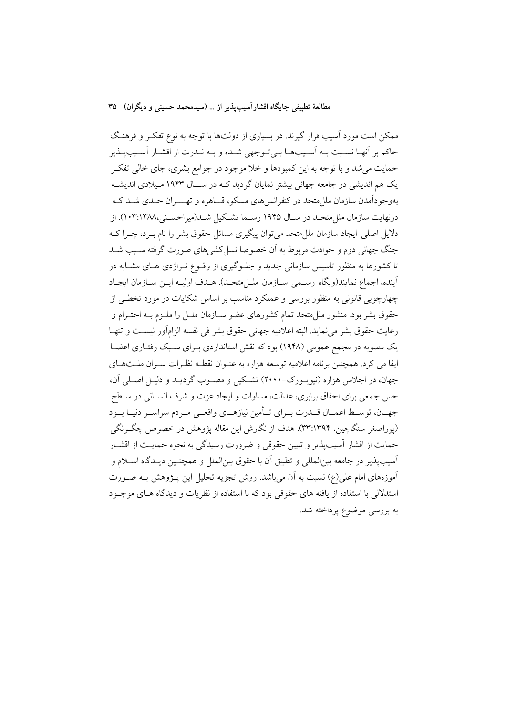ممکن است مورد آسیب قرار گیرند. در بسیاری از دولتها با توجه به نوع تفکـر و فرهنـگ حاكم بر أنهـا نسـبت بـه أسـيبهـا بـيتوجهي شـده و بـه نـدرت از اقشـار أسـيبيـذير حمایت میشد و با توجه به این کمبودها و خلا موجود در جوامع بشری، جای خالی تفکـر یک هم اندیشی در جامعه جهانی بیشتر نمایان گردید کـه در ســال ۱۹۴۳ مـیلادی اندیشــه بهوجودآمدن سازمان ملل متحد در کنفرانس های مسکو، قساهره و تهســران جــدی شــد کــه درنهایت سازمان ملل متحـد در سـال ۱۹۴۵ رسـما تشـكیل شـد(میراحسـنی،۱۰۳:۱۳۸۸). از دلایل اصلی ایجاد سازمان مللءتحد میتوان پیگیری مسائل حقوق بشر را نام بـرد، چـرا کـه جنگ جهانی دوم و حوادث مربوط به اَن خصوصا نسل کشی های صورت گرفته سـبب شـد تا کشورها به منظور تاسیس سازمانی جدید و جلـوگیری از وقـوع تـراژدی هـای مشـابه در أينده، اجماع نمايند(وبگاه رسمي سـازمان ملـلمتحـد). هـدف اوليـه ايـن سـازمان ايجـاد چهارچوبی قانونی به منظور بررسی و عملکرد مناسب بر اساس شکایات در مورد تخطی از حقوق بشر بود. منشور ملل متحد تمام کشورهای عضو سـازمان ملـل را ملـزم بــه احتــرام و رعايت حقوق بشر مى نمايد. البته اعلاميه جهانى حقوق بشر فى نفسه الزامأور نيست و تنهـا یک مصوبه در مجمع عمومی (۱۹۴۸) بود که نقش استانداردی بـرای سـبک رفتـاری اعضـا ایفا می کرد. همچنین برنامه اعلامیه توسعه هزاره به عنـوان نقطـه نظـرات سـران ملـتهـای جهان، در اجلاس هزاره (نیویـورک−۲۰۰۰) تشکیل و مصـوب گردیـد و دلیـل اصـلی آن، حس جمعي براي احقاق برابري، عدالت، مساوات و ايجاد عزت و شرف انســاني در ســطح جهـان، توسـط اعمـال قــدرت بــراي تــأمين نيازهــاي واقعــي مــردم سراســر دنيــا بــود (يوراصغر سنگاچين، ١٣٩٤:٣٣). هدف از نگارش اين مقاله پژوهش در خصوص چگــونگي حمایت از اقشار آسیبپذیر و تبیین حقوقی و ضرورت رسیدگی به نحوه حمایت از اقشـار آسيب،يذير در جامعه بين|لمللي و تطبيق اّن با حقوق بين|لملل و همچنـين ديــدگاه اســلام و آموزههای امام علی(ع) نسبت به آن می باشد. روش تجزیه تحلیل این پـژوهش بـه صـورت استدلالی با استفاده از یافته های حقوقی بود که با استفاده از نظریات و دیدگاه هـای موجـود به بررسی موضوع پرداخته شد.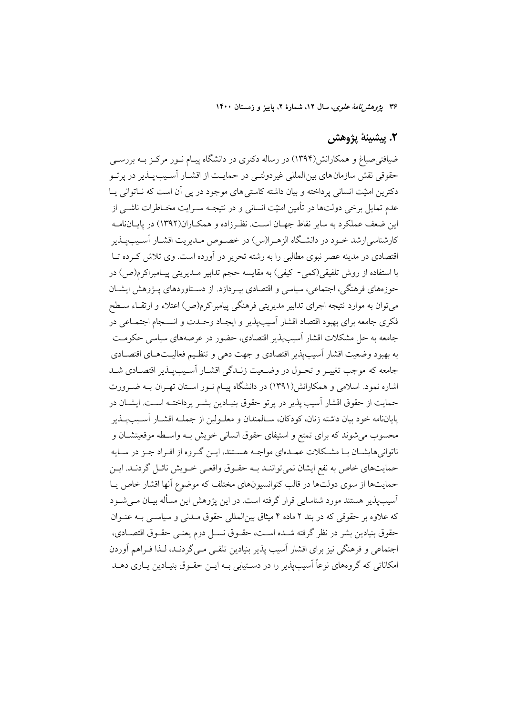۳۶ ی*ژوهش نامهٔ علوی*، سال ۱۲، شمارهٔ ۲، پاییز و زمستان ۱۴۰۰

#### ٢. پيشينۀ پژوهش

ضیافتهیصباغ و همکارانش(۱۳۹۴) در رساله دکتری در دانشگاه پیـام نــور مرکــز بــه بررســی حقوقي نقش سازمان هاي بين المللي غير دولتـي در حمايـت از اقشــار آسـيب يــذير در يرتــو دکترین امنیّت انسانی پرداخته و بیان داشته کاستی های موجود در پی آن است که نــاتوانی پــا عدم تمایل برخی دولتها در تأمین امنیّت انسانی و در نتیجـه سـرایت مخـاطرات ناشــی از این ضعف عملکرد به سایر نقاط جهـان اسـت. نظـرزاده و همکــاران(۱۳۹۲) در پایــانiامــه کارشناسی ارشد خـود در دانشـگاه الزهـرا(س) در خصـوص مـدیریت اقشـار آسـیبیـذیر اقتصادی در مدینه عصر نبوی مطالبی را به رشته تحریر در آورده است. وی تلاش که ده تــا با استفاده از روش تلفیقی(کمی- کیفی) به مقایسه حجم تدابیر مـدیریتی پیـامبراکرم(ص) در حوزههای فرهنگی، اجتماعی، سیاسی و اقتصادی بیـردازد. از دسـتاوردهای پـژوهش ایشــان میتوان به موارد نتیجه اجرای تدابیر مدیریتی فرهنگی پیامبراکرم(ص) اعتلاء و ارتقـاء ســطح .<br>فکری جامعه برای بهبود اقتصاد اقشار آسیبپذیر و ایجـاد وحـدت و انســجام اجتمــاعی در جامعه به حل مشکلات اقشار آسیبپذیر اقتصادی، حضور در عرصههای سیاسی حکومت به بهبود وضعيت اقشار آسيب يذير اقتصادي و جهت دهي و تنظيم فعاليــتهــاي اقتصــادي جامعه که موجب تغییر و تحـول در وضـعیت زنـدگی اقشـار آسـیبیـذیر اقتصـادی شـد اشاره نمود. اسلامی و همکارانش(۱۳۹۱) در دانشگاه پیـام نــور اســتان تهــران بــه ضــرورت حمايت از حقوق اقشار آسيب يذير در يرتو حقوق بنيـادين بشـر پرداختـه اسـت. ايشــان در پایاننامه خود بیان داشته زنان، کودکان، سـالمندان و معلـولین از جملــه اقشــار آســیبِـیــذیر محسوب می شوند که برای تمتع و استیفای حقوق انسانی خویش بـه واسـطه موقعیتشـان و ناتوانی هایشـان بـا مشـكلات عمـدهای مواجـه هسـتند، ایــن گـروه از افـراد جــز در ســایه حمايتهاي خاص به نفع ايشان نمي تواننـد بــه حقــوق واقعــي خــويش نائــل گردنــد. ايــن حمایتها از سوی دولتها در قالب کنوانسیونهای مختلف که موضوع آنها اقشار خاص پا آسیب،یذیر هستند مورد شناسایی قرار گرفته است. در این یژوهش این مسأله بیـان مــی شــود که علاوه بر حقوقی که در بند ۲ ماده ۴ میثاق بین المللی حقوق مــدنی و سیاســی بــه عنــوان حقوق بنيادين بشر در نظر گرفته شـده اسـت، حقــوق نســل دوم يعنــي حقــوق اقتصــادي، اجتماعی و فرهنگی نیز برای اقشار آسیب پذیر بنیادین تلقبی مبی گردنـد، لـذا فـراهم آوردن امکاناتی که گروههای نوعاً آسیب پذیر را در دستبایی بـه ایـن حقـوق بنیـادین بـاری دهـله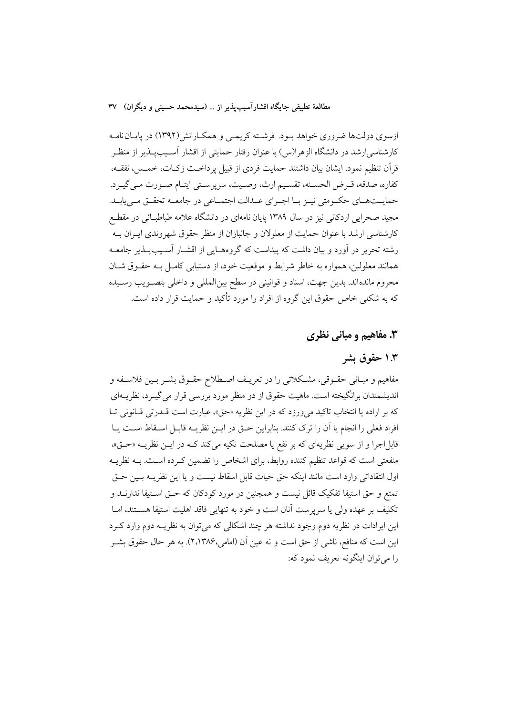ازسوی دولتها ضروری خواهد بود. فرشته کریمی و همکارانش(۱۳۹۲) در پایان نامه کارشناسی/رشد در دانشگاه الزهرا(س) با عنوان رفتار حمایتی از اقشار آسـیبیــذیر از منظـر قرآن تنظيم نمود. ايشان بيان داشتند حمايت فردي از قبيل پرداخـت زكـات، خمـس، نفقــه، كفاره، صدقه، قـرض الحسـنه، تقسـيم ارث، وصـيت، سرپرسـتي ايتـام صـورت مـي گيـرد. حمایــتهــاي حكـومتي نيـز بــا اجــراي عــدالت اجتمــاعي در جامعــه تحقــق مــي يابــد. مجید صحرایی اردکانی نیز در سال ۱۳۸۹ پایان نامهای در دانشگاه علامه طباطبائی در مقطـع کارشناسی ارشد با عنوان حمایت از معلولان و جانبازان از منظر حقوق شهروندی ایــران بــه رشته تحریر در آورد و بیان داشت که پیداست که گروههـایی از اقشــار آسـیبیــذیر جامعــه همانند معلولین، همواره به خاطر شرایط و موقعیت خود، از دستیابی کامـل بــه حقــوق شــان محروم ماندهاند. بدین جهت، اسناد و قوانینی در سطح بین|لمللی و داخلی بتصـویب رسـیده که به شکلی خاص حقوق این گروه از افراد را مورد تأکید و حمایت قرار داده است.

#### **۳.** مفاهیم و مبانی نظری

#### ۱.۳ حقوق ىشىر

مفاهیم و مبـانی حقــوقی، مشــکلاتی را در تعریــف اصــطلاح حقــوق بشــر بــین فلاســفه و اندیشمندان برانگیخته است. ماهیت حقوق از دو منظر مورد بررسی قرار می گیـرد، نظریــهای كه بر اراده يا انتخاب تاكيد مي ورزد كه در اين نظريه «حق»، عبارت است قــدرتي قـانوني تــا افراد فعلي را انجام يا آن را ترك كنند. بنابراين حـق در ايــن نظريــه قابــل اســقاط اســت يــا قابل|جرا و از سويي نظريهاي كه بر نفع يا مصلحت تكيه مي كند كـه در ايــن نظريــه «حــق»، منفعتی است که قواعد تنظیم کننده روابط، برای اشخاص را تضمین کـرده اسـت. بــه نظریــه اول انتقاداتی وارد است مانند اینکه حق حیات قابل اسقاط نیست و یا این نظریــه بــین حــق تمتع و حق استیفا تفکیک قائل نیست و همچنین در مورد کودکان که حـق اسـتیفا ندارنــد و تكليف بر عهده ولي يا سريرست آنان است و خود به تنهايي فاقد اهليت استيفا هســتند، امــا این ایرادات در نظریه دوم وجود نداشته هر چند اشکالی که می توان به نظریــه دوم وارد کــرد این است که منافع، ناشی از حق است و نه عین آن (امامی،۲،۱۳۸۶). به هر حال حقوق بشــر را مي توان اينگونه تعريف نمود كه: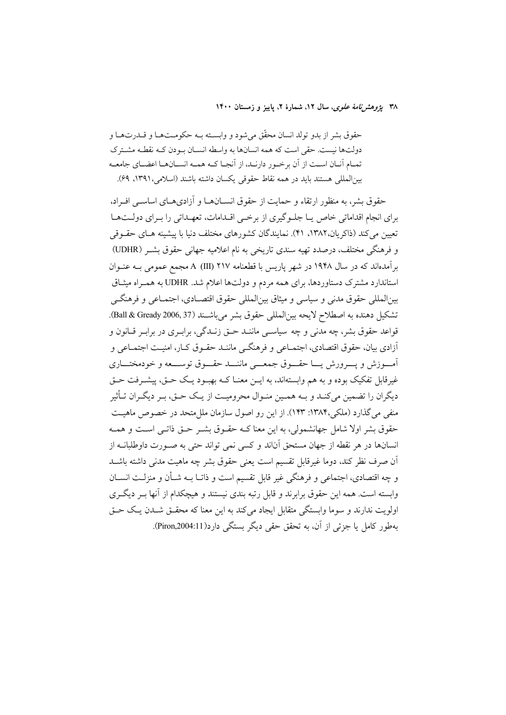۳۸ يژوهشرنامهٔ علوی، سال ۱۲، شمارهٔ ۲، پاييز و زمستان ۱۴۰۰

حقوق بشر از بدو تولد انسان محقّق می شود و وابسته بـه حکومـتهـا و قــدرتهـا و دولتها نیست. حقی است که همه انسانها به واسطه انسـان بـودن کـه نقطـه مشـترک تمـام آنـان اسـت از آن برخـور دارنـد، از آنجـا كـه همـه انسـانهـا اعضـاي جامعـه بينالمللي هستند بايد در همه نقاط حقوقي يكسان داشته باشند (اسلامي، ١٣٩١، ٤٩).

حقوق بشر، به منظور ارتقاء و حمایت از حقوق انســان۱مـا و آزادی،هـای اساســی افـراد، برای انجام اقداماتی خاص یـا جلـوگیری از برخـی اقـدامات، تعهـداتی را بـرای دولـتهـا تعیین می کند (ذاکریان،۱۳۸۲، ۴۱). نمایندگان کشورهای مختلف دنیا با پیشینه هـای حقـوقی و فرهنگی مختلف، درصدد تهیه سندی تاریخی به نام اعلامیه جهانی حقوق بشـر (UDHR) برآمدهاند که در سال ۱۹۴۸ در شهر پاریس با قطعنامه ۲۱۷ (III) A مجمع عمومی بــه عنــوان استاندارد مشترک دستاوردها، برای همه مردم و دولتها اعلام شد. UDHR به همـراه میشاق بين|لمللي حقوق مدني و سياسي و ميثاق بين|لمللي حقوق اقتصــادي، اجتمــاعي و فرهنگــي تشكيل دهنده به اصطلاح لايحه بين المللي حقوق بشر مي باشـند (Ball & Gready 2006, 37). قواعد حقوق بشر، چه مدنی و چه سیاسـی ماننـد حـق زنـدگی، برابـری در برابـر قــانون و آزادي بيان، حقوق اقتصادي، اجتمــاعي و فرهنگــي ماننــد حقــوق كــار، امنيــت اجتمــاعي و آمسوزش ويسرورش يسا حقسوق جمعي ماننسد حقسوق توسسعه وخودمختساري غیرقابل تفکیک بوده و به هم وابستهاند، به ایــن معنــا کــه بهبــود یــک حــق، پیشــرفت حــق دیگران را تضمین میکنـد و بـه همـین منـوال محرومیـت از یـک حـق، بـر دیگـران تـأثیر منفی می گذارد (ملکی،۱۳۸۴: ۱۴۳). از این رو اصول سازمان ملل متحد در خصوص ماهیت حقوق بشر اولا شامل جهانشمولی، به این معنا کـه حقـوق بشـر حـق ذاتـی اسـت و همـه انسانها در هر نقطه از جهان مستحق آناند و کسی نمی تواند حتی به صـورت داوطلبانــه از اّن صرف نظر کند، دوما غیرقابل تقسیم است یعنی حقوق بشر چه ماهیت مدنی داشته باشــد و چه اقتصادی، اجتماعی و فرهنگی غیر قابل تقسیم است و ذاتـا بــه شــأن و منزلــت انســان وابسته است. همه این حقوق برابرند و قابل رتبه بندی نیستند و هیچکدام از آنها بـر دیگـری اولويت ندارند و سوما وابستگي متقابل ايجاد مي كند به اين معنا كه محقــق شــدن يــك حــق بهطور كامل يا جزئي از آن، به تحقق حقى ديگر بستگي دارد(Piron,2004:11).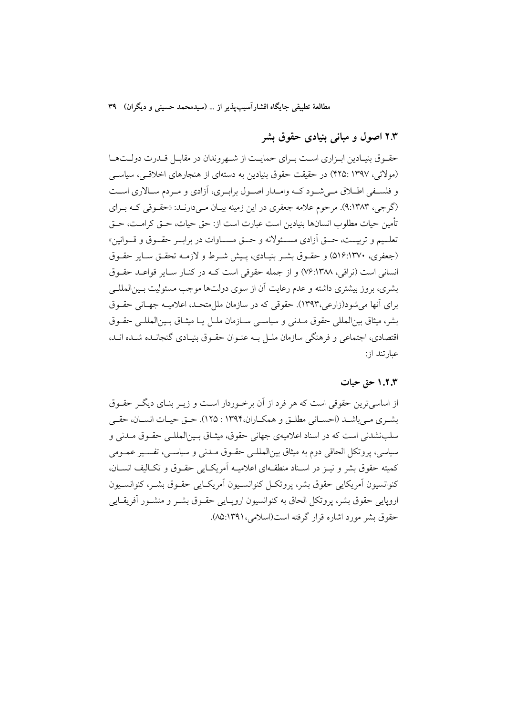#### ۲.۳ اصول و مبانی بنیادی حقوق بشر

حقـوق بنيـادين ابـزاري اسـت بـراي حمايـت از شـهروندان در مقابـل قــدرت دولــتهــا (مولائی، ۱۳۹۷ :۴۲۵) در حقیقت حقوق بنیادین به دستهای از هنجارهای اخلاقسی، سیاســی و فلسـفي اطـلاق مـي شـود كـه وامـدار اصـول برابـري، آزادي و مـر دم سـالاري اسـت (گرجی، ۹:۱۳۸۳). مرحوم علامه جعفری در این زمینه بیـان مـیدارنـد: «حقـوقی کـه بـرای تأمين حيات مطلوب انسانها بنيادين است عبارت است از: حق حيات، حـق كرامـت، حـق تعلـيم و تربيــت، حــق أزادي مســئولانه و حــق مســاوات در برابــر حقــوق و قــوانين» (جعفري، ٥١۶:١٣٧٠) و حقـوق بشـر بنيـادي، پـيش شـرط و لازمـه تحقـق سـاير حقـوق انسانی است (نراقی، ۷۶:۱۳۸۸) و از جمله حقوقی است کـه در کنـار سـایر قواعـد حقـوق بشري، بروز بيشتري داشته و عدم رعايت أن از سوى دولتها موجب مسئوليت بـين|لمللـي براي آنها مي شو د(زارعي،١٣٩٣). حقوقي كه در سازمان ملل متحـد، اعلاميــه جهـاني حقــوق بشر، ميثاق بين(لعللي حقوق مـدني و سياسـي سـازمان ملـل يـا ميثـاق بـين(لعللـي حقـوق اقتصادی، اجتماعی و فرهنگی سازمان ملـل بـه عنـوان حقـوق بنیـادی گنجانـده شـده انـد. عبارتند از:

#### ۱.۲.۳ حق حیات

از اساسی ترین حقوقی است که هر فرد از آن برخوردار است و زیــر بنــای دیگــر حقــوق بشيري مبي باشيد (احسياني مطليق و همكباران،١٣٩۴ : ١٢٥). حيق حييات انسيان، حقبي سلبنشدنی است که در اسناد اعلامیهی جهانی حقوق، مشاق پین(لمللبی حقبوق میدنی و سیاسی، پروتکل الحاقی دوم به میثاق بین|لمللـی حقـوق مـدنی و سیاسـی، تفسـیر عمـومی كميته حقوق بشر و نيـز در اسـناد منطقـهاي اعلاميــه آمريكــايي حقــوق و تكــاليف انســان، كنوانسيون آمريكايي حقوق بشر، يروتكـل كنوانسـيون آمريكـايي حقـوق بشـر، كنوانسـيون اروپایی حقوق بشر، پروتکل الحاق به کنوانسیون اروپـایی حقـوق بشـر و منشـور آفریقـایی حقوق پشر مورد اشاره قرار گرفته است(اسلامی، ۱۳۹۱:۸۵).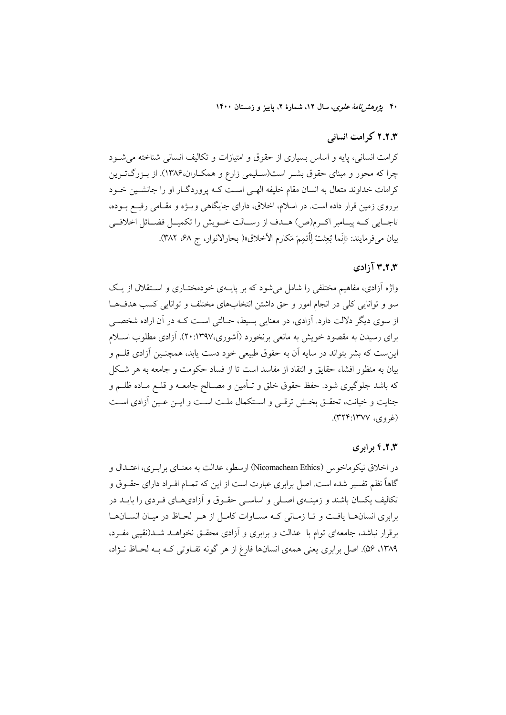۴۰ بیروهشرنا*مهٔ علوی*، سال ۱۲، شمارهٔ ۲، پاییز و زمستان ۱۴۰۰

#### ٢.٢.٣ كرامت انسانى

کرامت انسانی، پایه و اساس بسیاری از حقوق و امتیازات و تکالیف انسانی شناخته می شود چرا که محور و مبنای حقوق بشـر است(سـلیمی زارع و همکـاران،۱۳۸۶). از بـزرگتـرین کرامات خداوند متعال به انسان مقام خلیفه الهے است کـه پروردگـار او را جانشـین خـود برروی زمین قرار داده است. در اسلام، اخلاق، دارای جایگاهی ویـژه و مقـامی رفیـع بـوده، تاجـايي كـه پيـامبر اكـرم(ص) هــدف از رسـالت خــويش را تكميــل فضــائل اخلاقــي بيان مي فرمايند: «إِنَّما بُعِثتُ لِٱتمِمَ مَكارِمِ الأخلاقِ»( بحارالانوار، ج ۶۸، ۳۸۲).

#### ۳.۲.۳ آزادی

واژه آزادی، مفاهیم مختلفی را شامل میشود که بر پایـهی خودمختـاری و اســتقلال از یـک سو و توانایی کلی در انجام امور و حق داشتن انتخابهای مختلف و توانایی کسب هدفها از سوی دیگر دلالت دارد. آزادی، در معنایی بسیط، حـالتی اسـت کـه در آن اراده شخصــی برای رسیدن به مقصود خویش به مانعی برنخورد (اَشوری،۱۳۹۷:۲۰). اَزادی مطلوب اسـلام این ست که بشر بتواند در سایه آن به حقوق طبیعی خود دست یابد، همچنـین آزادی قلــم و بیان به منظور افشاء حقایق و انتقاد از مفاسد است تا از فساد حکومت و جامعه به هر شکل که باشد جلوگیری شود. حفظ حقوق خلق و تـأمین و مصـالح جامعــه و قلــع مــاده ظلــم و جنایت و خیانت، تحقـق بخـش ترقـی و اسـتکمال ملـت اسـت و ایـن عـین آزادی اسـت (غ<sub>ر</sub>وي، ۱۳۷۷؛۲۴:۱۳۲).

#### ۴.۲.۳ برابری

در اخلاق نیکوماخوس (Nicomachean Ethics) ارسطو، عدالت به معنـای برابـری، اعتـدال و گاهاً نظم تفسیر شده است. اصل برابری عبارت است از این که تمــام افــراد دارای حقــوق و تکالیف یکسان باشند و زمینــهی اصــلی و اساســی حقــوق و آزادیهــای فــردی را بایــد در برابری انسانها یافت و تبا زمیانی کیه مسیاوات کامیل از هیر لحیاظ در مییان انسیانهیا برقرار نباشد، جامعهای توام با عدالت و برابری و آزادی محقـق نخواهــد شــد(نقیبی مفـرد، ۱۳۸۹، ۵۶). اصل برابری یعنی همهی انسانها فارغ از هر گونه تفـاوتی کـه بـه لحـاظ نـژاد،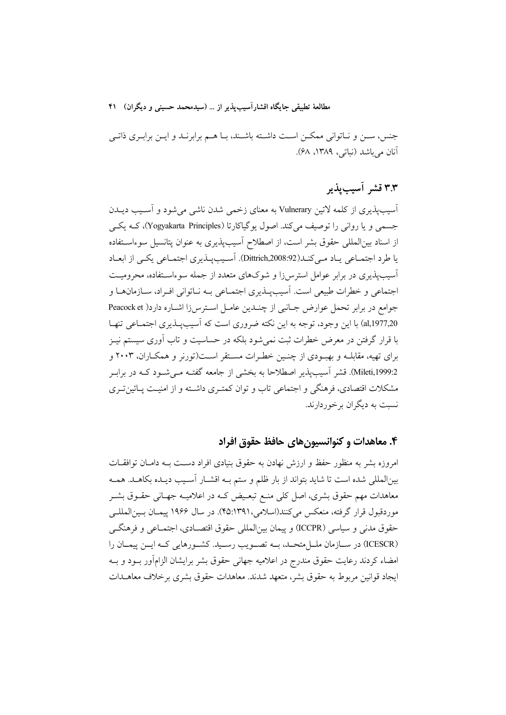جنس، سـن و نـاتواني ممكـن اسـت داشـته باشـند، بـا هـم برابرنـد و ايـن برابـرى ذاتـي آنان می باشد (نباتی، ۱۳۸۹، ۶۸).

## ٣.٣ قشر آسيبپذير

آسیب پذیری از کلمه لاتین Vulnerary به معنای زخمی شدن ناشی می شود و آسـیب دیــدن جسمی و یا روانی را توصیف میکند. اصول یوگیاکارتا (Yogyakarta Principles)، ک) یک از اسناد بین|لمللی حقوق بشر است، از اصطلاح آسیبپذیری به عنوان پتانسیل سوءاسـتفاده یا طرد اجتمـاعی یـاد مـیکنـد(Dittrich,2008:92). آسـیبیـذیری اجتمـاعی یکـی از ابعـاد آسیبپذیری در برابر عوامل استرسiا و شوکهای متعدد از جمله سوءاسـتفاده، محرومیـت اجتماعی و خطرات طبیعی است. آسیبپـذیری اجتمـاعی بــه نـاتوانی افـراد، سـازمانهـا و جوامع در برابر تحمل عوارض جـانبي از چنـدين عامـل اسـترس(ا اشـاره دارد( Peacock et al,1977,20) با این وجود، توجه به این نکته ضروری است که آسیبپـذیری اجتمـاعی تنهـا با قرار گرفتن در معرض خطرات ثبت نمی شود بلکه در حساسیت و تاب آوری سیستم نیـز برای تهیه، مقابلــه و بهبــودی از چنــین خطــرات مســتقر اســت(تورنر و همکــاران، ۲۰۰۳ و 2:Mileti,1999). قشر آسیب پذیر اصطلاحا به بخشی از جامعه گفتـه مـی شـود کـه در برابـر مشکلات اقتصادی، فرهنگی و اجتماعی تاب و توان کمتـری داشـته و از امنیـت پـائینتـری نسبت به دیگران برخوردارند.

#### ۴. معاهدات و کنوانسیون های حافظ حقوق افراد

امروزه بشر به منظور حفظ و ارزش نهادن به حقوق بنیادی افراد دست بـه دامـان توافقـات بینالمللی شده است تا شاید بتواند از بار ظلم و ستم بـه اقشـار آسـیب دیـده بکاهـد. همـه معاهدات مهم حقوق بشری، اصل کلی منـع تبعـیض کـه در اعلامیـه جهـانی حقـوق بشـر موردقبول قرار گرفته، منعکس می کنند(اسلامی،۴۵:۱۳۹۱). در سال ۱۹۶۶ پیمـان بـین|لمللـی حقوق مدنی و سیاسی (ICCPR) و پیمان بین|لمللی حقوق اقتصـادی، اجتمـاعی و فرهنگـی (ICESCR) در سـازمان ملــل.تحـد، بــه تصــويب رســيد. كشــورهايي كــه ايــن پيمــان را امضاء کردند رعایت حقوق مندرج در اعلامیه جهانی حقوق بشر برایشان الزامآور بـود و بـه ايجاد قوانين مربوط به حقوق بشر، متعهد شدند. معاهدات حقوق بشرى برخلاف معاهــدات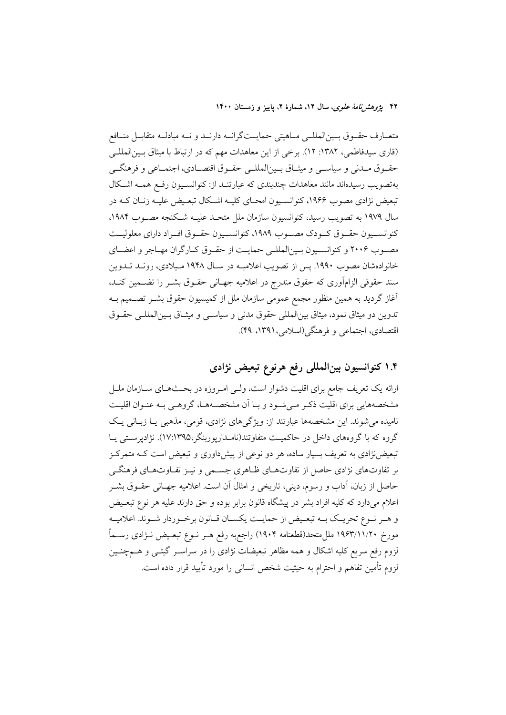۴۲ پژ*وهشرنامهٔ علوی*، سال ۱۲، شمارهٔ ۲، پاییز و زمستان ۱۴۰۰

متعــارف حقــوق بــين|لمللــي مــاهيتي حمايــتگرانــه دارنــد و نــه مبادلــه متقابــل منــافع (قاری سیدفاطمی، ۱۳۸۲: ۱۲). برخی از این معاهدات مهم که در ارتباط با میثاق بسین المللے حقــوق مــدنى و سياســي و ميثــاق بــينالمللــي حقــوق اقتصــادى، اجتمــاعى و فرهنگــي بهتصویب رسیدهاند مانند معاهدات چندبندی که عبارتنـد از: کنوانسـیون رفـع همـه اشـکال تبعیض نژادی مصوب ۱۹۶۶، کنوانسـیون امحـای کلیـه اشـکال تبعـیض علیـه زنـان کـه در سال ۱۹۷۹ به تصویب رسید، کنوانسیون سازمان ملل متحـد علیــه شـکنجه مصــوب ۱۹۸۴. كنوانسـيون حقـوق كـودك مصـوب ١٩٨٩، كنوانسـيون حقـوق افـراد داراي معلوليـت مصـوب ٢٠٠۶ و كنوانسـيون بـينالمللـي حمايـت از حقـوق كـارگران مهـاجر و اعضـاي خانوادهشان مصوب ۱۹۹۰. پس از تصویب اعلامیـه در سـال ۱۹۴۸ مـیلادی، رونـد تـدوین سند حقوقی الزامأوری که حقوق مندرج در اعلامیه جهـانی حقــوق بشــر را تضــمین کنــد، آغاز گردید به همین منظور مجمع عمومی سازمان ملل از کمیسیون حقوق بشـر تصــمیم بــه تدوين دو ميثاق نمود، ميثاق بين المللي حقوق مدنى و سياسـي و ميثـاق بـين المللـي حقـوق اقتصادي، اجتماعي و فرهنگي(اسلامي،١٣٩١، ۴۹).

### ۱.۴ کنوانسیون بینالمللی رفع هرنوع تبعیض نژادی

ارائه یک تعریف جامع برای اقلیت دشوار است، ولـی امـروزه در بحـثهـای ســازمان ملــل مشخصههایی برای اقلیت ذکـر مـی شـود و بـا آن مشخصـههـا، گروهـی بـه عنـوان اقلیـت نامیده می شوند. این مشخصهها عبارتند از: ویژگیهای نژادی، قومی، مذهبی یـا زبـانی یـک گروه که با گروههای داخل در حاکمیت متفاوتند(نامـداریوربنگر،۱۷:۱۳۹۵). نژادیرسـتی یـا تبعیضنژادی به تعریف بسیار ساده، هر دو نوعی از پیشداوری و تبعیض است کـه متمرکـز بر تفاوتهای نژادی حاصل از تفاوتهـای ظـاهری جسـمی و نیـز تفـاوتهـای فرهنگـی حاصل از زبان، آداب و رسوم، دینی، تاریخی و امثال آن است. اعلامیه جهـانی حقــوق بشــر اعلام میدارد که کلیه افراد بشر در پیشگاه قانون برابر بوده و حق دارند علیه هر نوع تبعـیض و هـر نـوع تحريـك بـه تبعـيض از حمايـت يكسـان قـانون برخـوردار شـوند. اعلاميـه مورخ ١٩۶٣/١١/٢٠ مللٍ متحد(قطعنامه ١٩٠۴) راجع؛ وفع هـر نــوع تبعــيض نــژادي رســماً لزوم رفع سریع کلیه اشکال و همه مظاهر تبعیضات نژادی را در سراسـر گیتـی و هــمچنـین لزوم تأمین تفاهم و احترام به حیثیت شخص انسانی را مورد تأیید قرار داده است.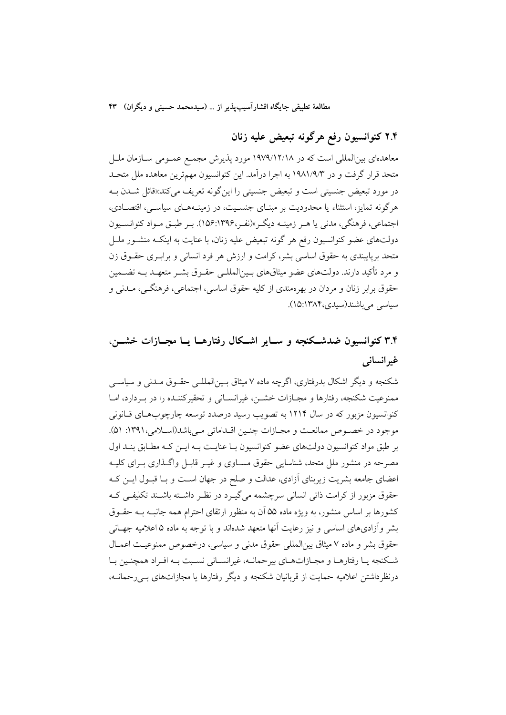## ۲.۴ کنوانسیون رفع هرگونه تبعیض علیه زنان

معاهدهای بین|لمللی است که در ۱۹۷۹/۱۲/۱۸ مورد یذیرش مجمع عمـومی ســازمان ملــل متحد قرار گرفت و در ۱۹۸۱/۹/۳ به اجرا درآمد. این کنوانسیون مهمترین معاهده ملل متحـد در مورد تبعیض جنسیتی است و تبعیض جنسیتی را این گونه تعریف می کند:«قائل شــدن بــه هرگونه تمایز، استثناء یا محدودیت بر مبنـای جنسـیت، در زمینـههـای سیاسـی، اقتصـادی، اجتماعي، فرهنگي، مدني يا هـر زمينــه ديگـر»(نفـر،١٣٩۶:١٥۶). بـر طبــق مــواد كنوانســيون دولتهای عضو کنوانسیون رفع هر گونه تبعیض علیه زنان، با عنایت به اینکـه منشـور ملــل متحد برپایبندی به حقوق اساسی بشر، کرامت و ارزش هر فرد انسانی و برابه ی حقــوق زن و مرد تأكيد دارند. دولتهاي عضو ميثاقهاي بـين|لمللـي حقـوق بشـر متعهـد بـه تضـمين حقوق برابر زنان و مردان در بهرهمندي از كليه حقوق اساسي، اجتماعي، فرهنگــي، مــدني و سیاسی می باشند(سیدی،۱۳۸۴).

## ۳.۴ کنوانسیون ضدشکنجه و سـایر اشـکال رفتارهــا پــا مجــازات خشــن. غيرانساني

شکنجه و دیگر اشکال بدرفتاری، اگرچه ماده ۷ میثاق بـینالمللـی حقـوق مـدنی و سیاسـی ممنوعیت شکنجه، رفتارها و مجـازات خشــن، غیرانســانی و تحقیرکننـده را در بـردارد، امــا کنوانسیون مزبور که در سال ۱۲۱۴ به تصویب رسید درصدد توسعه چارچوبهای قبانونی موجود در خصوص ممانعت و مجازات چنـین اقـداماتی مـیباشد(اسـلامی، ۱۳۹۱: ۵۱). بر طبق مواد کنوانسیون دولتهای عضو کنوانسیون بـا عنایـت بـه ایــن کـه مطـابق بنــد اول مصرحه در منشور ملل متحد، شناسایی حقوق مســاوی و غیــر قابــل واگــذاری بــرای کلیــه اعضای جامعه بشریت زیربنای آزادی، عدالت و صلح در جهان است و بـا قبـول ایــن کــه حقوق مزبور از کرامت ذاتی انسانی سرچشمه می گیـرد در نظـر داشـته باشـند تکلیفـی کـه کشورها بر اساس منشور، به ویژه ماده ۵۵ آن به منظور ارتقای احترام همه جانبـه بــه حقــوق بشر وأزادىهاى اساسى و نيز رعايت آنها متعهد شدماند و با توجه به ماده ۵ اعلاميه جهـانى حقوق بشر و ماده ۷ میثاق بین(لمللی حقوق مدنی و سیاسی، درخصوص ممنوعیت اعمـال شكنجه يـا رفتارهـا و مجـازاتهـاي بيرحمانــه، غيرانســاني نسـبت بــه افـراد همچنـين بـا درنظرداشتن اعلامیه حمایت از قربانیان شکنجه و دیگر رفتارها یا مجازاتهای بے رحمانــه،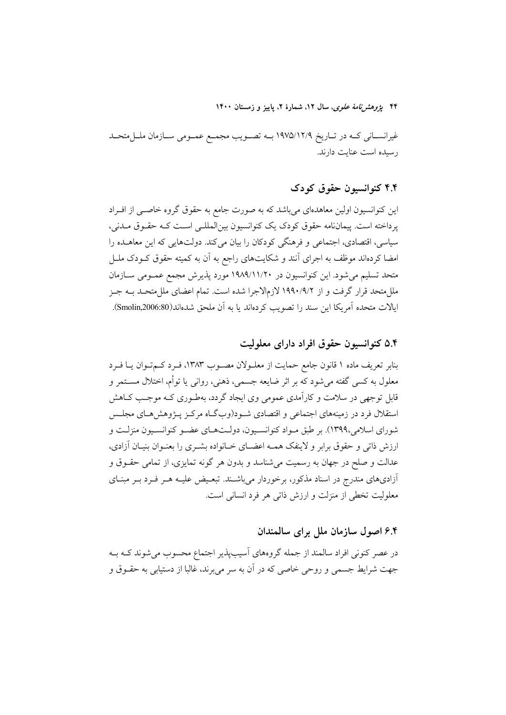۴۴ یژوه*شرنامهٔ علوی*، سال ۱۲، شمارهٔ ۲، پاییز و زمستان ۱۴۰۰

غیرانســانی کــه در تــاریخ ١٩٧٥/١٢/٩ بــه تصــویب مجمــع عمــومی ســازمان ملــلمتحــد رسیده است عنایت دارند.

#### ۴.۴ کنوانسیون حقوق کودک

این کنوانسیون اولین معاهدهای میباشد که به صورت جامع به حقوق گروه خاصـی از افـراد پرداخته است. پیماننامه حقوق کودک یک کنوانسیون بینالمللـی اسـت کـه حقـوق مـدنی، سیاسی، اقتصادی، اجتماعی و فرهنگی کودکان را بیان میکند. دولتهایی که این معاهــده را امضا کردهاند موظف به اجرای آنند و شکایتهای راجع به آن به کمیته حقوق کــودک ملــل متحد تسلیم میشود. این کنوانسیون در ۱۹۸۹/۱۱/۲۰ مورد پذیرش مجمع عمـومی ســازمان مللِ متحد قرار گرفت و از ۱۹۹۰/۹/۲ لازمِالاجرا شده است. تمام اعضای مللِ متحـد بــه جــز ايالات متحده آمريكا اين سند را تصويب كردهاند يا به آن ملحق شدهاند(Smolin,2006:80).

۵.۴ کنوانسیون حقوق افراد دارای معلولیت

بنابر تعریف ماده ۱ قانون جامع حمایت از معلـولان مصـوب ۱۳۸۳، فـرد کـمتـوان یـا فـرد معلول به کسی گفته می شود که بر اثر ضایعه جسمی، ذهنی، روانی یا توأم، اختلال مســتمر و قابل توجهی در سلامت و کارآمدی عمومی وی ایجاد گردد، بهطـوری کـه موجـب کـاهش استقلال فرد در زمینههای اجتماعی و اقتصادی شـود(وبگـاه مرکـز پـژوهش۵هـای مجلـس شورای اسلامی،۱۳۹۹). بر طبق مـواد کنوانسـیون، دولـتهـای عضـو کنوانسـیون منزلـت و ارزش ذاتی و حقوق برابر و لاینفک همـه اعضـای خــانواده بشــری را بعنــوان بنیــان أزادی، عدالت و صلح در جهان به رسمیت میشناسد و بدون هر گونه تمایزی، از تمامی حقــوق و آزادیهای مندرج در اسناد مذکور، برخوردار می باشـند. تبعـیض علیـه هـر فـرد بـر مبنـای معلولیت تخطی از منزلت و ارزش ذاتی هر فرد انسانی است.

#### ۶.۴ اصول سازمان ملل برای سالمندان

در عصر کنونی افراد سالمند از جمله گروههای آسیبپذیر اجتماع محسوب می شوند کـه بـه جهت شرایط جسمی و روحی خاصی که در آن به سر میبرند، غالبا از دستیابی به حقـوق و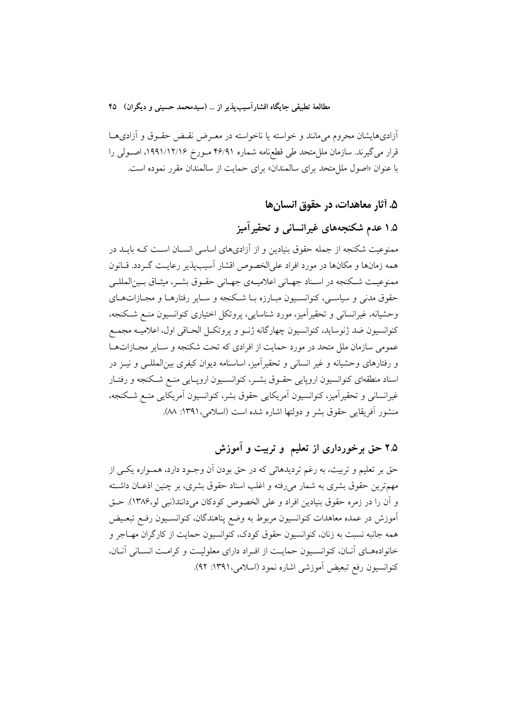أزادىهايشان محروم مىمانند و خواسته يا ناخواسته در معـرض نقـض حقـوق و أزادىهـا قرار می گیرند. سازمان مللءتحد طی قطع،نامه شماره ۴۶/۹۱ مـورخ ۱۹۹۱/۱۲/۱۶، اصـولی را با عنوان «اصول ملل متحد براى سالمندان» براى حمايت از سالمندان مقرر نموده است.

۵. آثار معاهدات، در حقوق انسان ها

۱.۵ عدم شکنجههای غیرانسانی و تحقیرآمیز

ممنوعیت شکنجه از جمله حقوق بنیادین و از آزادیهای اساسی انسـان اسـت کـه بایــد در همه زمانها و مکانها در مورد افراد علیالخصوص اقشار آسیبپذیر رعایـت گـردد. قــانون ممنوعیت شکنجه در اسـناد جهـاني اعلاميــهي جهـاني حقــوق بشــر، ميثـاق بــينالمللــي حقوق مدنی و سیاسـی، کنوانسـیون مبـارزه بـا شـکنجه و سـایر رفتارهـا و مجـازاتهـای وحشیانه، غیرانسانی و تحقیرآمیز، مورد شناسایی، پروتکل اختیاری کنوانسیون منع شکنجه، كنوانسيون ضد ژنوسايد، كنوانسيون چهارگانه ژنــو و پروتكــل الحــاقى اول، اعلاميــه مجمــع عمومی سازمان ملل متحد در مورد حمایت از افرادی که تحت شکنجه و سـایر مجـازاتهـا و رفتارهای وحشیانه و غیر انسانی و تحقیرآمیز، اساسنامه دیوان کیفری بینالمللـی و نیــز در اسناد منطقهای کنوانسیون اروپایی حقــوق بشــر، کنوانســیون اروپــایی منــع شــکنجه و رفتــار غیرانسانی و تحقیرآمیز، کنوانسیون آمریکایی حقوق بشر، کنوانسیون آمریکایی منع شکنجه، منشور آفريقايي حقوق بشر و دولتها اشاره شده است (اسلامي،١٣٩١: ٨٨).

۲.۵ حق برخورداری از تعلیم و تربیت و آموزش

حق بر تعلیم و تربیت، به رغم تردیدهائی که در حق بودن آن وجـود دارد، همـواره یکـی از مهمترین حقوق بشری به شمار میرفته و اغلب اسناد حقوق بشری، بر چنین اذعـان داشــته و آن را در زمره حقوق بنیادین افراد و علی الخصوص کودکان میدانند(نبی لو،۱۳۸۶). حـق آموزش در عمده معاهدات کنوانسیون مربوط به وضع پناهندگان، کنوانسـیون رفـع تبعـیض همه جانبه نسبت به زنان، كنوانسيون حقوق كودك، كنوانسيون حمايت از كارگران مهـاجر و خانوادههای آنان، کنوانسیون حمایت از افراد دارای معلولیت و کرامت انسانی آنان، كنوانسيون رفع تبعيض أموزشي اشاره نمود (اسلامي،١٣٩١: ٩٢).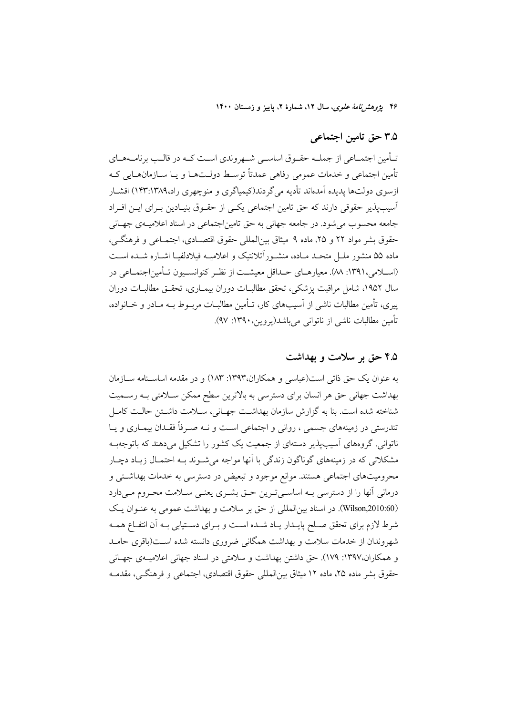۴۶ یژوهشرنامهٔ *علوی*، سال ۱۲، شمارهٔ ۲، پاییز و زمستان ۱۴۰۰

#### ۳.۵ حق تامین اجتماعی

تــأمین اجتمــاعی از جملــه حقــوق اساســی شـــهروندی اســت کــه در قالــب برنامــههــای تأمين اجتماعي و خدمات عمومي رفاهي عمدتاً توسط دولـتهـا و يـا ســازمانهــايي كــه ازسوی دولتها پدیده آمدهاند تأدیه می گردند(کیمیاگری و منوچهری راد،۱۳۸۹:۱۴۳) اقشــار آسیبپذیر حقوقی دارند که حق تامین اجتماعی یکسی از حقـوق بنیـادین بـرای ایــن افـراد جامعه محسوب می شود. در جامعه جهانی به حق تامین|جتماعی در اسناد اعلامیــهی جهــانی حقوق بشر مواد ٢٢ و ٢٥، ماده ٩ ميثاق بين(لمللي حقوق اقتصـادي، اجتمـاعي و فرهنگـي، ماده ۵۵ منشور ملـل متحـد مـاده، منشـوراًتلانتيک و اعلاميــه فيلادلفيــا اشــاره شــده اســت (اســلامي،١٣٩١: ٨٨). معيارهــاي حــداقل معيشــت از نظـر كنوانســيون تــأمين|جتمــاعي در سال ۱۹۵۲، شامل مراقبت یزشکی، تحقق مطالبــات دوران بیمــاری، تحقــق مطالبــات دوران پیری، تأمین مطالبات ناشی از آسیبهای کار، تــأمین مطالبــات مربــوط بــه مــادر و خــانواده، تأمين مطالبات ناشير از ناتواني مرياشد(يووين، ١٣٩٠: ٩٧).

#### ۴.۵ حق بر سلامت و بهداشت

به عنوان یک حق ذاتی است(عباسی و همکاران،۱۳۹۳: ۱۸۳) و در مقدمه اساسـنامه ســازمان بهداشت جهانی حق هر انسان برای دسترسی به بالاترین سطح ممکن سـلامتی بــه رســمیت شناخته شده است. بنا به گزارش سازمان بهداشت جهـانی، ســلامت داشـتن حالـت كامـل تندرستی در زمینههای جسمی ، روانی و اجتماعی است و نـه صـرفاً فقـدان بیمـاری و یـا ناتوانی. گروههای آسیب پذیر دستهای از جمعیت یک کشور را تشکیل می دهند که باتوجهب مشکلاتی که در زمینههای گوناگون زندگی با آنها مواجه میشوند بـه احتمـال زیـاد دچـار محرومیتهای اجتماعی هستند. موانع موجود و تبعیض در دسترسی به خدمات بهداشتی و درمانی آنها را از دسترسی بـه اساسـیتـرین حـق بشـری یعنـی سـلامت محـروم مـیدارد (Wilson,2010:60). در اسناد بین المللی از حق بر سلامت و بهداشت عمومی به عنـوان یـک شرط لازم برای تحقق صـلح پایــدار یــاد شــده اســت و بــرای دســتیابی بــه آن انتفــاع همــه شهروندان از خدمات سلامت و بهداشت همگانی ضروری دانسته شده است(باقری حامـد و همکاران،۱۳۹۷: ۱۷۹). حق داشتن بهداشت و سلامتی در اسناد جهانی اعلامیـهی جهـانی حقوق پشر ماده ۲۵، ماده ۱۲ میثاق پین(لمللی حقوق اقتصادی، اجتماعی و فرهنگے، مقدمـه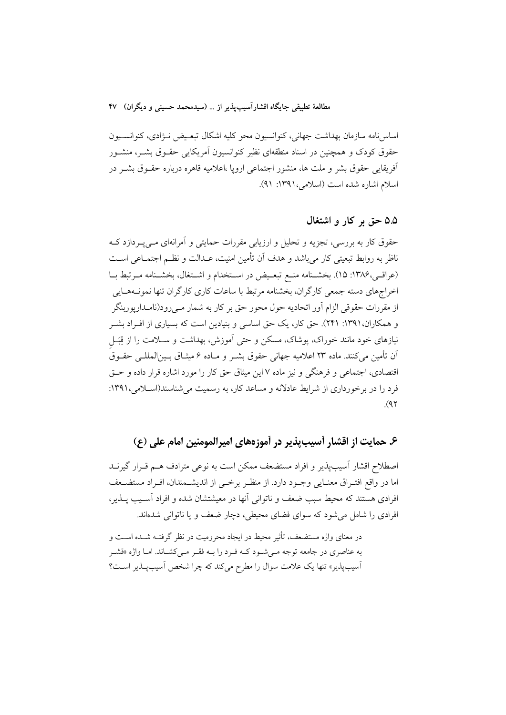اساس نامه سازمان بهداشت جهاني، كنوانسيون محو كليه اشكال تبعيض نـزادي، كنوانسـيون حقوق کودک و همچنین در اسناد منطقهای نظیر کنوانسیون اَمریکایی حقــوق بشــر، منشــور آفریقایی حقوق بشر و ملت ها، منشور اجتماعی اروپا ،اعلامیه قاهره درباره حقــوق بشــر در اسلام اشاره شده است (اسلامی، ۱۳۹۱: ۹۱).

#### ۵.۵ حق بر کار و اشتغال

حقوق کار به بررسی، تجزیه و تحلیل و ارزیابی مقررات حمایتی و آمرانهای مـیپـردازد کـه ناظر به روابط تبعیتی کار می باشد و هدف آن تأمین امنیت، عــدالت و نظــم اجتمــاعی اســت (عراقبی،۱۳۸۶: ۱۵). بخشـنامه منـع تبعـیض در اسـتخدام و اشـتغال، بخشـنامه مـرتبط بـا اخراجهای دسته جمعی کارگران، بخشنامه مرتبط با ساعات کاری کارگران تنها نمونـههـایی از مقررات حقوقی الزام آور اتحادیه حول محور حق بر کار به شمار مـیرود(نامــداریوربنگر و همکاران،۱۳۹۱: ۲۴۱). حق کار، یک حق اساسی و بنیادین است که بسیاری از افـراد بشـر نیازهای خود مانند خوراک، یوشاک، مسکن و حتی آموزش، بهداشت و سـلامت را از قِبَـل اّن تأمين مي كنند. ماده ٢٣ اعلاميه جهاني حقوق بشــر و مــاده ۶ ميثــاق بــين|لمللــي حقــوق اقتصادی، اجتماعی و فرهنگی و نیز ماده ۷ این میثاق حق کار را مورد اشاره قرار داده و حــق فرد را در برخورداری از شرایط عادلانه و مساعد کار، به رسمیت می شناسند(اسلامی، ۱۳۹۱:  $(9)$ 

### ۶. حمايت از اقشار أسيبيذير در أموزههاي اميرالمومنين امام على (ع)

اصطلاح اقشار اسیب یذیر و افراد مستضعف ممکن است به نوعی مترادف هــم قــرار گیرنــد اما در واقع افتـراق معنـايي وجـود دارد. از منظـر برخـي از انديشـمندان، افـراد مستضـعف افرادی هستند که محیط سبب ضعف و ناتوانی آنها در معیشتشان شده و افراد آسـیب یــذیر، افرادي را شامل مي شود كه سواي فضاي محيطي، دچار ضعف و يا ناتواني شدهاند.

در معنای واژه مستضعف، تأثیر محیط در ایجاد محرومیت در نظر گرفتـه شــده اســت و به عناصری در جامعه توجه مـی شـود کـه فـرد را بـه فقـر مـی کشـاند. امـا واژه «قشـر آسیبپذیر» تنها یک علامت سوال را مطرح میکند که چرا شخص آسیبپذیر است؟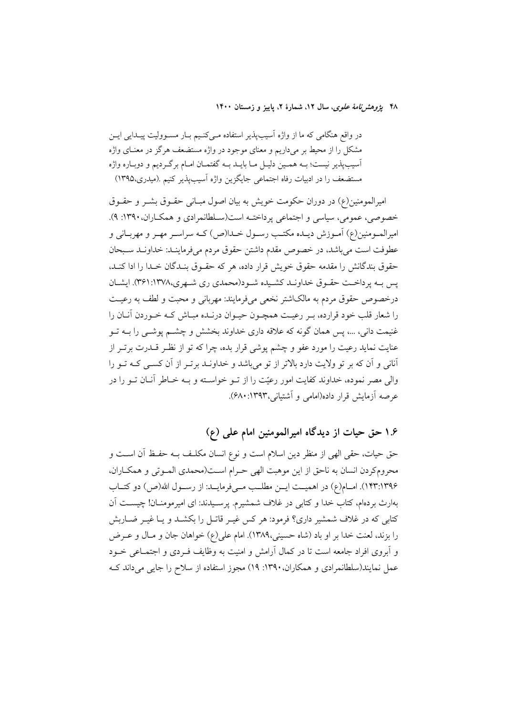۴۸ يژوهشرنامهٔ علوی، سال ۱۲، شمارهٔ ۲، پاييز و زمستان ۱۴۰۰

در واقع هنگامی که ما از واژه آسیبپذیر استفاده مـیکنـیم بـار مسـوولیت پیـدایی ایـن مشکل را از محیط بر میداریم و معنای موجود در واژه مستضعف هرگز در معنـای واژه آسيبپذير نيست؛ بـه همـين دليـل مـا بايـد بـه گفتمـان امـام برگـرديم و دوبـاره واژه مستضعف را در ادبیات رفاه اجتماعی جایگزین واژه آسیبپذیر کنیم .(میدری،۱۳۹۵)

امبرالمومنین(ع) در دوران حکومت خویش به بیان اصول میبانی حقبوق پشتر و حقبوق خصوصی، عمومی، سیاسی و اجتماعی پرداخته است(سلطانمرادی و همکاران، ۱۳۹۰: ۹). اميرالمــومنين(ع) آمــوزش ديــده مكتــب رســول خــدا(ص) كــه سراســر مهــر و مهربــاني و عطوفت است می باشد، در خصوص مقدم داشتن حقوق مردم میفرماینـد: خداونـد سـبحان حقوق بندگانش را مقدمه حقوق خویش قرار داده، هر که حقـوق بنـدگان خـدا را ادا کنـد، یس بـه پرداخـت حقـوق خداونـد كشـیده شـود(محمدي ري شـهري،١٣٧٨:٣٦١). ايشـان درخصوص حقوق مردم به مالکاشتر نخعی می فرمایند: مهربانی و محبت و لطف به رعیـت را شعار قلب خود قرارده، بـر رعيـت همچـون حيـوان درنـده مبـاش كـه خـوردن أنــان را غنیمت دانی، ...، پس همان گونه که علاقه داری خداوند بخشش و چشــم یوشــی را بــه تــو عنایت نماید رعیت را مورد عفو و چشم پوشی قرار بده، چرا که تو از نظـر قــدرت برتــر از آنانی و آن که بر تو ولایت دارد بالاتر از تو میباشد و خداونـد برتـر از آن کسـی کـه تـو را والي مصر نموده، خداوند كفايت امور رعيّت را از تــو خواســته و بــه خــاطر آنــان تــو را در عرصه آزمایش قرار داده(امامی و آشتیانی،۱۳۹۳: ۶۸۰).

۱.۶ حق حیات از دیدگاه امیرالمومنین امام علمی (ع)

حق حیات، حقی الهی از منظر دین اسلام است و نوع انسان مکلـف بـه حفـظ آن اسـت و محروم كردن انسان به ناحق از اين موهبت الهي حـرام اسـت(محمدي المـوتي و همكـاران، ١٣٩:١٣٩۶). امبام(ع) در اهميت ايس مطلب مبي فرماييد: از رسبول الله(ص) دو كتباب بهارث بردهام، كتاب خدا و كتابي در غلاف شمشيرم. يرسـيدند: اي اميرمومنــان! چيســت آن کتابی که در غلاف شمشیر داری؟ فرمود: هر کس غیـر قاتـل را بکشــد و یــا غیــر ضــاربش را بزند، لعنت خدا بر او باد (شاه حسینی،۱۳۸۹). امام علی(ع) خواهان جان و مـال و عــرض و آبروی افراد جامعه است تا در کمال آرامش و امنیت به وظایف فـردی و اجتمـاعی خــود عمل نمایند(سلطانمرادی و همکاران،۱۳۹۰: ۱۹) مجوز استفاده از سلاح را جایی میداند ک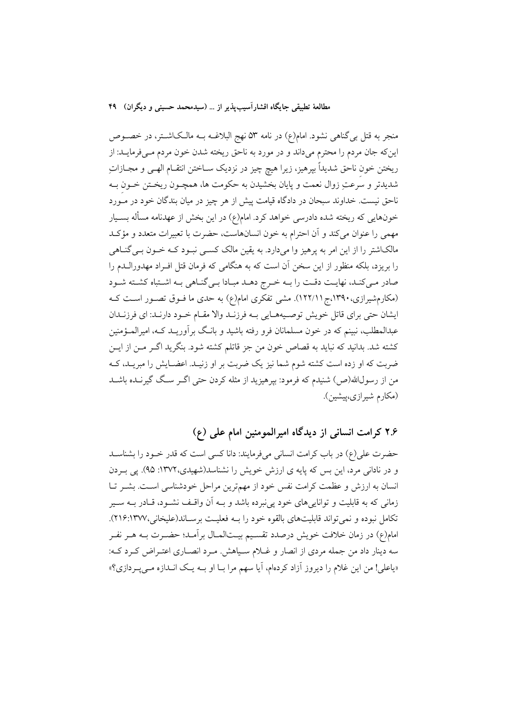منجر به قتل بی گناهی نشود. امام(ع) در نامه ۵۳ نهج البلاغــه بــه مالــکاشــتر، در خصـــوص این که جان مردم را محترم میداند و در مورد به ناحق ریخته شدن خون مردم مـیفرمایــد: از ریختن خون ناحق شدیداً بپرهیز، زیرا هیچ چیز در نزدیک ســاختن انتقــام الهــی و مجــازاتِ شدیدتر و سرعتِ زوال نعمت و پایان بخشیدن به حکومت ها، همچـون ریخـتن خـون بــه ناحق نیست. خداوند سبحان در دادگاه قیامت پیش از هر چیز در میان بندگان خود در مــورد خونهایی که ریخته شده دادرسی خواهد کرد. امام(ع) در این بخش از عهدنامه مسأله بسـیار مهمی را عنوان میکند و آن احترام به خون انسانهاست، حضرت با تعبیرات متعدد و مؤکـد مالکاشتر را از این امر به پرهیز وا میدارد. به یقین مالک کسبی نبـود کــه خــون بــی گنــاهـی را بریزد، بلکه منظور از این سخن آن است که به هنگامی که فرمان قتل افـراد مهدورالـدم را صادر مـى كنـد، نهايـت دقـت را بـه خـرج دهـد مبـادا بـى گنـاهى بـه اشـتباه كشـته شـود (مکارمشیرازی،۱۳۹۰،ج۱۲۲/۱). مشی تفکری امام(ع) به حدی ما فــوق تصــور اســت کــه ایشان حتی برای قاتل خویش توصیههایی بـه فرزنـد والا مقـام خـود دارنـد: ای فرزنـدان عبدالمطلب، نبینم که در خون مسلمانان فرو رفته باشید و بانـگ بر آوریــد کــه، امیرالـمـؤمنین كشته شد. بدانيد كه نبايد به قصاص خون من جز قاتلم كشته شود. بنگريد اگـر مـن از ايـن ضربت که او زده است کشته شوم شما نیز یک ضربت بر او زنیـد. اعضـایش را مبریـد، کــه من از رسول\لله(ص) شنیدم که فرمود: بیرهیزید از مثله کردن حتی اگــر سـگ گیرنــده باشــد (مکارم شیرازی،پیشین).

## ۲.۶ کرامت انسانی از دیدگاه امیرالمومنین امام علی (ع)

حضرت علی(ع) در باب کرامت انسانی میفرمایند: دانا کسی است که قدر خـود را بشناسـد و در نادانی مرد، این بس که پایه ی ارزش خویش را نشناسد(شهیدی،۱۳۷۲: ۹۵). پی بـردن انسان به ارزش و عظمت كرامت نفس خود از مهمترين مراحل خودشناسي است. بشـر تـا زمانی که به قابلیت و تواناییهای خود یی نبرده باشد و بـه اَن واقـف نشـود، قــادر بــه ســیر تکامل نبوده و نمي تواند قابليتهاي بالقوه خود را بـه فعليـت برسـاند(عليخاني،١٣٧٧:٢١۶). امام(ع) در زمان خلافت خویش درصدد تقسیم بیــتالمــال برآمــد؛ حضــرت بــه هــر نفــر سه دینار داد من جمله مردی از انصار و غـلام سـیاهش. مـرد انصـاری اعتـراض کـرد کـه: «یاعلی! من این غلام را دیروز آزاد کردهام، آیا سهم مرا بــا او بــه یــک انــدازه مــیپــردازی؟»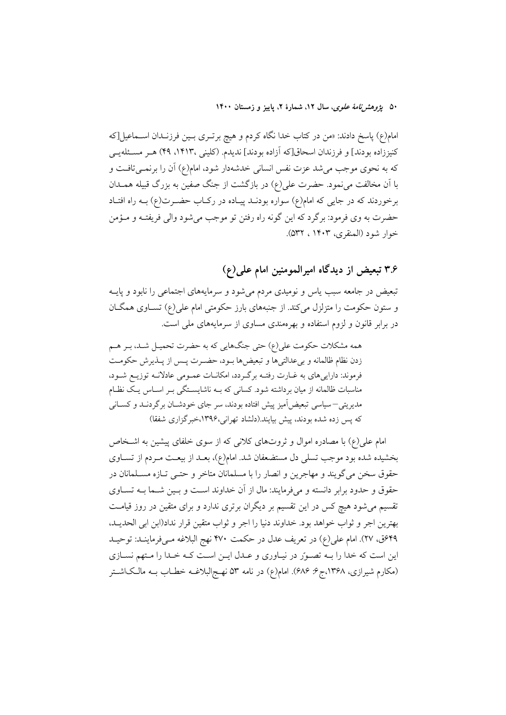۵۰ یژ*وهشرنامهٔ علوی*، سال ۱۲، شمارهٔ ۲، پاییز و زمستان ۱۴۰۰

امام(ع) پاسخ دادند: «من در کتاب خدا نگاه کردم و هیچ برتــری بــین فرزنــدان اســماعیل[که كنيززاده بودند] و فرزندان اسحاق[كه آزاده بودند] نديدم. (كليني ،١٤١٣، ٢٩) هـر مسـئلهيـي که به نحوی موجب میشد عزت نفس انسانی خدشهدار شود، امام(ع) آن را برنمــیتافــت و با آن مخالفت می نمود. حضرت علی(ع) در بازگشت از جنگ صفین به بزرگ قبیله همــدان برخوردند که در جایی که امام(ع) سواره بودنـد پیـاده در رکـاب حضـرت(ع) بــه راه افتـاد حضرت به وي فرمود: برگرد كه اين گونه راه رفتن تو موجب مي شود والي فريفتـه و مـؤمن خوار شود (المنقرى، ١۴٠٣ ، ٥٣٢).

۳.۶ تبعیض از دیدگاه امیرالمومنین امام علمی(ع)

تبعیض در جامعه سبب یاس و نومیدی مردم می شود و سرمایههای اجتماعی را نابود و پایـه و ستون حکومت را متزلزل میکند. از جنبههای بارز حکومتی امام علی(ع) تسـاوی همگـان در برابر قانون و لزوم استفاده و بهر ممندی مساوی از سرمایههای ملی است.

همه مشکلات حکومت علی(ع) حتی جنگهایی که به حضرت تحمیـل شـد، بـر هـم زدن نظام ظالمانه وبرعدالتيها وتبعيضها بود، حضرت پس از پـذيرش حكومـت فرموند: داراییهای به غـارت رفتـه برگـردد، امکانـات عمـومی عادلانـه توزیـع شـود، مناسبات ظالمانه از میان برداشته شود. کسانی که بـه ناشایسـتگی بـر اسـاس یـک نظـام مدیریتی—سیاسی تبعیض]میز پیش افتاده بودند، سر جای خودشــان برگردنــد و کســانی که پس زده شده بودند، پیش بیایند.(دلشاد تهرانی،۱۳۹۶،خبرگزاری شفقا)

امام علی(ع) با مصادره اموال و ثروتهای کلانی که از سوی خلفای پیشین به اشـخاص بخشیده شده بود موجب تسلی دل مستضعفان شد. امام(ع)، بعـد از بیعـت مـردم از تســاوی حقوق سخن مي گويند و مهاجرين و انصار را با مسلمانان متاخر و حتـي تــازه مســلمانان در حقوق و حدود برابر دانسته و میفرمایند: مال از آن خداوند است و بسین شـما بــه تســاوی تقسیم می شود هیچ کس در این تقسیم بر دیگران برتری ندارد و برای متقین در روز قیامت بهترين اجر و ثواب خواهد بود. خداوند دنيا را اجر و ثواب متقين قرار نداد(ابن ابي الحديــد، ۴۹ق، ۲۷). امام علي(ع) در تعريف عدل در حكمت ۴۷۰ نهج البلاغه مـ ووماينـد: توحيـد این است که خدا را بـه تصـورّ در نیـاوری و عـدل ایـن اسـت کـه خـدا را مـتهم نسـازی (مکارم شیرازی، ۱۳۶۸،ج۶: ۶۸۶). امام(ع) در نامه ۵۳ نهـج|لبلاغــه خطــاب بــه مالــک|شــتر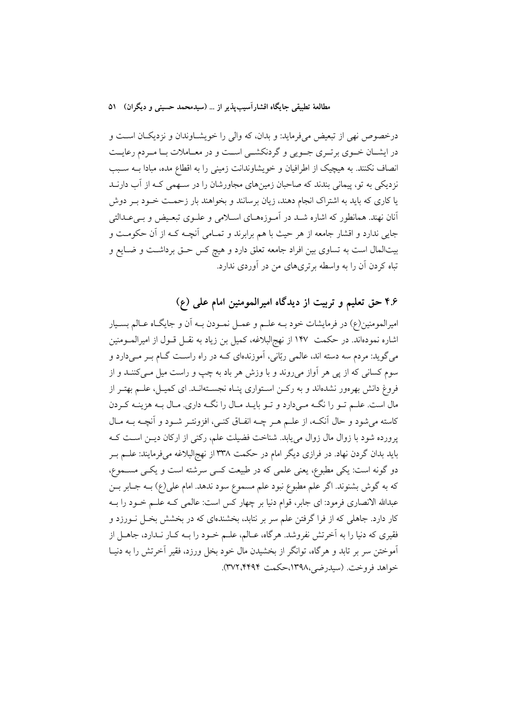درخصوص نهی از تبعیض میفرماید: و بدان، که والی را خویشـاوندان و نزدیکـان اسـت و در ایشـان خـوی برتـری جـویی و گردنكشـی اسـت و در معـاملات بـا مـردم رعایـت انصاف نکنند. به هیچیک از اطرافیان و خویشاوندانت زمینی را به اقطاع مده، مبادا بــه ســبب نزدیکی به تو، پیمانی بندند که صاحبان زمینهای مجاورشان را در سـهمی کـه از آب دارنــد یا کاری که باید به اشتراک انجام دهند، زیان برسانند و بخواهند بار زحمت خـود بـر دوش آنان نهند. همانطور که اشاره شـد در آمـوزههـای اسـلامی و علـوی تبعـیض و بـیعـدالتی جایی ندارد و اقشار جامعه از هر حیث با هم برابرند و تمـامی آنچـه کـه از آن حکومـت و بیتالمال است به تساوی بین افراد جامعه تعلق دارد و هیچ کس حــق برداشــت و ضــایع و تباه کردن آن را به واسطه برتریهای من در آوردی ندارد.

## ۴.۶ حق تعلیم و تربیت از دیدگاه امیرالمومنین امام علی (ع)

امیرالمومنین(ع) در فرمایشات خود بــه علــم و عمــل نمــودن بــه اَن و جایگــاه عــالم بســیار اشاره نمودهاند. در حکمت ۱۴۷ از نهجالبلاغه، کمیل بن زیاد به نقــل قــول از امیرالمــومنین میگوید: مردم سه دسته اند، عالمی ربّانی، آموزندهای کـه در راه راسـت گـام بـر مـیدارد و سوم کسانی که از پی هر آواز میروند و با وزش هر باد به چپ و راست میل مــیکننــد و از فروغ دانش بهرهور نشدهاند و به رکـن اسـتواری پنـاه نجسـتهانـد. ای کمیـل، علــم بهتــر از مال است. علـم تــو را نگــه مــی(دارد و تــو بایــد مــال را نگــه داری. مــال بــه هزینــه كــردن کاسته میشود و حال آنکـه، از علــم هــر چــه انفــاق کنــی، افزونتــر شــود و آنچــه بــه مــال پرورده شود با زوال مال زوال مییابد. شناخت فضیلت علم، رکنی از ارکان دیـن اسـت کـه باید بدان گردن نهاد. در فرازی دیگر امام در حکمت ۳۳۸ از نهجالبلاغه میفرمایند: علــم بــر دو گونه است: یکی مطبوع، یعنی علمی که در طبیعت کسی سرشته است و یکسی مســموع، که به گوش بشنوند. اگر علم مطبوع نبود علم مسموع سود ندهد. امام علی(ع) بـه جـابر بــن عبدالله الانصاري فرمود: اي جابر، قوام دنيا بر چهار كس است: عالمي كـه علــم خــود را بــه کار دارد. جاهلی که از فرا گرفتن علم سر بر نتابد، بخشندهای که در بخشش بخـل نــورزد و فقیری که دنیا را به آخرتش نفروشد. هرگاه، عــالم، علــم خــود را بــه کــار نــدارد، جاهــل از آموختن سر بر تابد و هرگاه، توانگر از بخشیدن مال خود بخل ورزد، فقیر آخرتش را به دنیــا خواهد فروخت. (سيدرضي،١٣٩٨،حكمت ٣٧٢،٤٢٩٢).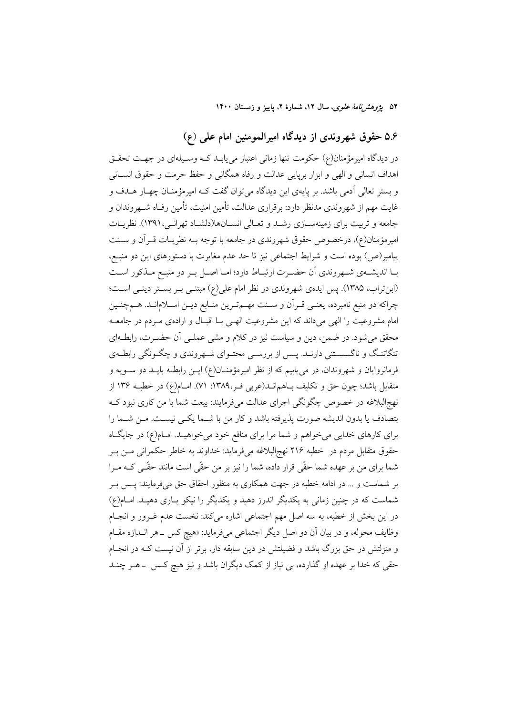۵۲ ی*ژوهش نامهٔ علوی*، سال ۱۲، شمارهٔ ۲، پاییز و زمستان ۱۴۰۰

### ۵.۶ حقوق شهروندی از دیدگاه امیرالمومنین امام علی (ع)

در دیدگاه امیرمؤمنان(ع) حکومت تنها زمانی اعتبار مییابـد کـه وسـیلهای در جهـت تحقـق اهداف انسانی و الهی و ابزار برپایی عدالت و رفاه همگانی و حفظ حرمت و حقوق انســانی و بستر تعالی اَدمی باشد. بر پایهی این دیدگاه می توان گفت کـه امیرمؤمنـان چهـار هــدف و غايت مهم از شهروندي مدنظر دارد: برقراري عدالت، تأمين امنيت، تأمين رفـاه شــهروندان و جامعه و تربیت برای زمینهسـازی رشــد و تعــالی انســانها(دلشــاد تهرانــی،١٣٩١). نظریــات امیرمؤمنان(ع)، درخصوص حقوق شهروندی در جامعه با توجه بـه نظریــات قــرآن و ســنت پیامبر(ص) بوده است و شرایط اجتماعی نیز تا حد عدم مغایرت با دستورهای این دو منبع، بـا انديشـهي شـهروندي اّن حضـرت ارتبـاط دارد؛ امـا اصـل بـر دو منبـع مـذكور اسـت (ابنتراب، ۱۳۸۵). پس ایدهی شهروندی در نظر امام علی(ع) مبتنــی بــر بســتر دینــی اســت؛ چراکه دو منبع نامبرده، یعنـی قـراَن و سـنت مهـمتـرین منـابع دیـن اسـلامانـد. هــمچنـین امام مشروعیت را الهی می داند که این مشروعیت الهـی بــا اقبــال و ارادهی مــردم در جامعــه محقق میشود. در ضمن، دین و سیاست نیز در کلام و مشی عملـی آن حضـرت، رابطـهای تنگاتنگ و ناگسستنی دارنـد. پـس از بررسـی محتـوای شـهروندی و چگـونگی رابطـهی فرمانروایان و شهروندان، در می یابیم که از نظر امیرمؤمنــان(ع) ایــن رابطــه بایــد دو ســویه و متقابل باشد؛ چون حق و تکلیف بـاهمانــد(عربی فـر،١٣٨٩: ٧١). امــام(ع) در خطبــه ١٣۶ از نهج البلاغه در خصوص چگونگی اجرای عدالت میفرمایند: بیعت شما با من کاری نبود ک بتصادف يا بدون انديشه صورت پذيرفته باشد و كار من با شـما يكـي نيسـت. مـن شـما را برای کارهای خدایی میخواهم و شما مرا برای منافع خود میخواهیـد. امـام(ع) در جایگـاه حقوق متقابل مردم در خطبه ٢١۶ نهجالبلاغه میفرماید: خداوند به خاطر حکمرانی مـن بـر شما برای من بر عهده شما حقّی قرار داده، شما را نیز بر من حقّی است مانند حقّـی کــه مــرا بر شماست و … در ادامه خطبه در جهت همکاری به منظور احقاق حق میفرمایند: پـس بـر شماست که در چنین زمانی به یکدیگر اندرز دهید و یکدیگر را نیکو پاری دهیـد. امـام(ع) در این بخش از خطبه، به سه اصل مهم اجتماعی اشاره می کند: نخست عدم غـرور و انجـام وظایف محوله، و در بیان آن دو اصل دیگر اجتماعی میفرماید: «هیچ کس ــ هر انــدازه مقــام و منزلتش در حق بزرگ باشد و فضیلتش در دین سابقه دار، برتر از آن نیست کـه در انجـام حقی که خدا بر عهده او گذارده، بی نیاز از کمک دیگران باشد و نیز هیچ کـس \_هــر چنــد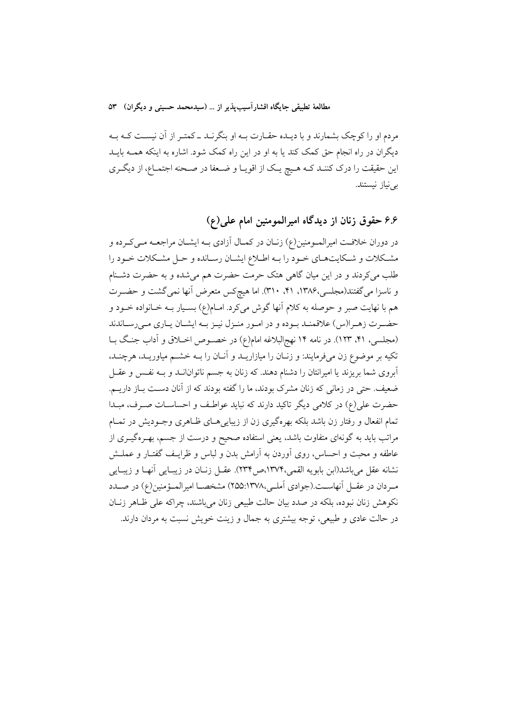مردم او را کوچک بشمارند و با دیـده حقـارت بــه او بنگرنــد ــ کمتــر از آن نیســت کــه بــه دیگران در راه انجام حق کمک کند یا به او در این راه کمک شود. اشاره به اینکه همــه بایــد این حقیقت را درک کننـد کـه هـیچ یـک از اقویـا و ضـعفا در صـحنه اجتمـاع، از دیگـری بى نياز نيستند.

۶.۶ حقوق زنان از دیدگاه امیرالمومنین امام علمی(ع)

در دوران خلافت امیرالمـومنین(ع) زنــان در کمــال آزادی بــه ایشــان مراجعــه مــیکــرده و مشكلات و شكايتهاي خـود را بـه اطـلاع ايشـان رسـانده و حـل مشـكلات خـود را طلب میکردند و در این میان گاهی هتک حرمت حضرت هم میشده و به حضرت دشـنام و ناسزا می گفتند(مجلسی،۱۳۸۶، ۴۱، ۳۱۰). اما هیچکس متعرض آنها نمی گشت و حضـرت هم با نهایت صبر و حوصله به کلام آنها گوش میکرد. امـام(ع) بسـیار بــه خــانواده خــود و حضـرت زهـرا(س) علاقمنـد بـوده و در امـور منـزل نيـز بـه ايشـان يـاري مـيرسـاندند (مجلسی، ۴۱، ۱۲۳). در نامه ۱۴ نهج البلاغه امام(ع) در خصوص اخـلاق و آداب جنگ بـا تکیه بر موضوع زن میفرمایند: و زنـان را میازاریــد و آنــان را بــه خشــم میاوریــد، هرچنــد، آبروی شما بریزند یا امیرانتان را دشنام دهند. که زنان به جسم ناتوانانــد و بــه نفـس و عقــل ضعیف. حتی در زمانی که زنان مشرک بودند، ما را گفته بودند که از آنان دست بـاز داریــم. حضرت علي(ع) در كلامي ديگر تاكيد دارند كه نبايد عواطف و احساسـات صـرف، مبـدا تمام انفعال و رفتار زن باشد بلکه بهرهگیری زن از زیباییهـای ظـاهری وجـودیش در تمـام مراتب باید به گونهای متفاوت باشد، یعنی استفاده صحیح و درست از جسم، بهـرهگیــری از عاطفه و محبت و احساس، روی آوردن به آرامش بدن و لباس و ظرایـف گفتـار و عملـش نشانه عقل می باشد(ابن بابویه القمی،۱۳۷۴،ص۱۳۷۴). عقـل زنــان در زیبــایی آنهــا و زیبــایی مـردان در عقــل آنهاســت.(جوادي اَملــي،١٣٧٨:١٥۵:١٣٧٨ مشخصــا اميرالمــؤمنين(ع) در صــدد نکوهش زنان نبوده، بلکه در صدد بیان حالت طبیعی زنان می باشند، چراکه علی ظـاهر زنــان در حالت عادی و طبیعی، توجه بیشتری به جمال و زینت خویش نسبت به مردان دارند.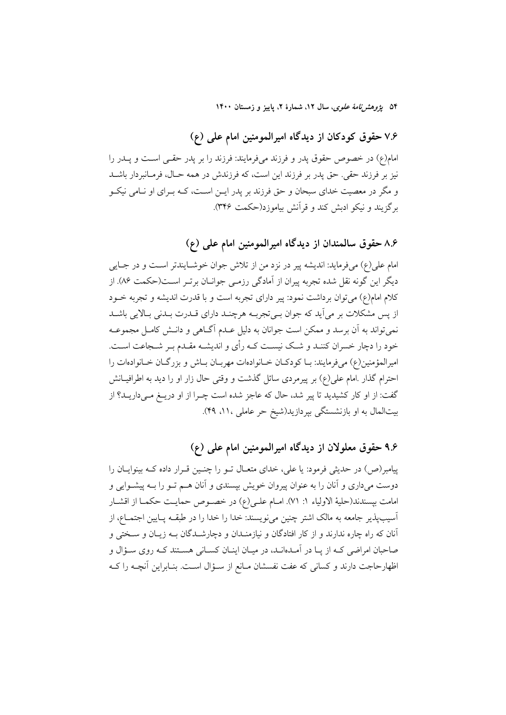۵۴ ی*ژوهشرنامهٔ علوی*، سال ۱۲، شمارهٔ ۲، پاییز و زمستان ۱۴۰۰

### ۷.۶ حقوق کودکان از دیدگاه امیرالمومنین امام علمی (ع)

امام(ع) در خصوص حقوق پدر و فرزند میفرمایند: فرزند را بر پدر حقـبی اسـت و پــدر را نیز بر فرزند حقی. حق پدر بر فرزند این است، که فرزندش در همه حـال، فرمـانبردار باشــد و مگر در معصیت خدای سبحان و حق فرزند بر یدر ایــن اســت، کــه بــرای او نــامی نیکــو برگزيند و نيكو ادبش كند و قرأنش بياموزد(حكمت ٣۴۶).

## ۸.۶ حقوق سالمندان از دیدگاه امیرالمومنین امام علی (ع)

امام علي(ع) مي فرمايد: انديشه پير در نزد من از تلاش جوان خوشــايندتر اســت و در جــايي دیگر این گونه نقل شده تجربه پیران از آمادگی رزمـی جوانـان برتـر اسـت(حکمت ۸۶). از كلام امام(ع) مي توان برداشت نمود: پير داراي تجربه است و با قدرت انديشه و تجربه خــود از پس مشکلات بر می آید که جوان بـیتجربـه هرچنـد دارای قـدرت بـدنی بـالایی باشـد نمي تواند به آن برسد و ممكن است جوانان به دليل عـدم آگــاهي و دانــش كامــل مجموعــه خود را دچار خسران کننـد و شـک نیسـت کـه رأی و اندیشـه مقـدم بـر شـجاعت اسـت. امیرالمؤمنین(ع) میفرمایند: بـا کودکـان خـانوادهات مهربـان بـاش و بزرگـان خـانوادهات را احترام گذار .امام علی(ع) بر پیرمردی سائل گذشت و وقتی حال زار او را دید به اطرافیــانش گفت: از او کار کشیدید تا پیر شد، حال که عاجز شده است چــرا از او دریــغ مــیداریــد؟ از بیتالمال به او بازنشستگی بپردازید(شیخ حر عاملی ، ۱۱، ۴۹).

### ۹.۶ حقوق معلولان از دیدگاه امیرالمومنین امام علمی (ع)

پیامبر(ص) در حدیثی فرمود: یا علی، خدای متعـال تـو را چنـین قـرار داده کـه بینوایـان را دوست میداری و آنان را به عنوان پیروان خویش بپسندی و آنان هــم تــو را بــه پیشــوایی و امامت بيسندند(حليهٔ الاولياء ١: ٧١). امــام علــي(ع) در خصــوص حمايــت حكمــا از اقشــار آسیب،پذیر جامعه به مالک اشتر چنین می نویسند: خدا را خدا را در طبقــه پــایین اجتمــاع، از آنان که راه چاره ندارند و از کار افتادگان و نیازمنـدان و دچارشـدگان بـه زیـان و سـختی و صاحبان امراضی کـه از پـا در آمـدهانـد، در میـان اینـان کسـانی هسـتند کـه روی سـؤال و اظهارحاجت دارند و کسانی که عفت نفسشان مـانع از سـؤال اسـت. بنـابراین آنچــه را کــه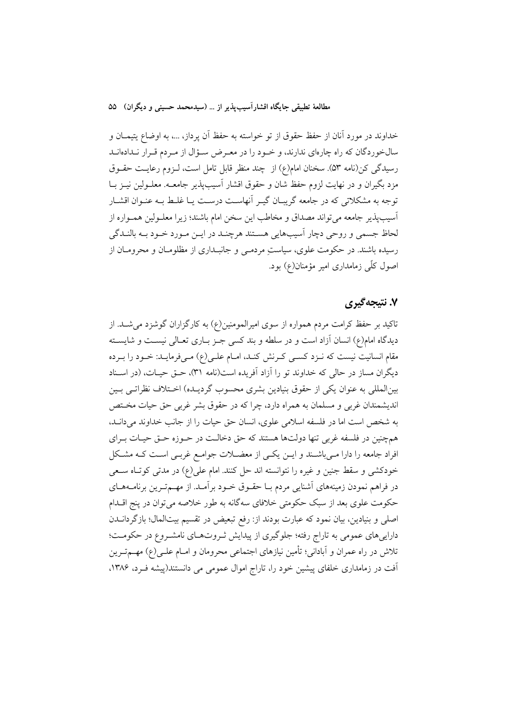خداوند در مورد آنان از حفظ حقوق از تو خواسته به حفظ آن پرداز، …، به اوضاع يتيمــان و سالخوردگان که راه چارهای ندارند، و خـود را در معـرض سـؤال از مـردم قـرار نـدادهانـد رسیدگی کن(نامه ۵۳). سخنان امام(ع) از چند منظر قابل تامل است، لـزوم رعایـت حقـوق مزد بگیران و در نهایت لزوم حفظ شان و حقوق اقشار آسیبپذیر جامعـه. معلــولین نیــز بــا توجه به مشکلاتی که در جامعه گریبـان گیـر آنهاسـت درسـت یـا غلـط بـه عنـوان اقشـار آسيبپذير جامعه مي تواند مصداق و مخاطب اين سخن امام باشند؛ زيرا معلـولين همـواره از لحاظ جسمي و روحي دچار اسيبهايي هستند هرچنـد در ايـن مـورد خـود بـه بالنـدگي رسیده باشند. در حکومت علوی، سیاست مردمـی و جانبـداری از مظلومـان و محرومـان از اصول کلّی زمامداری امیر مؤمنان(ع) بود.

### ۷. نتىجەگىرى

تاکید بر حفظ کرامت مردم همواره از سوی امیرالمومنین(ع) به کارگزاران گوشزد می شـد. از دیدگاه امام(ع) انسان آزاد است و در سلطه و بند کسی جـز بـاری تعـالی نیسـت و شایسـته مقام انسانیت نیست که نـزد کسـی کـرنش کنـد، امـام علـی(ع) مـیفرمایـد: خـود را بـرده دیگران مساز در حالی که خداوند تو را آزاد آفریده است(نامه ۳۱)، حـق حیـات، (در اسـناد بین|لمللی به عنوان یکی از حقوق بنیادین بشری محسوب گردیـده) اخــتلاف نظراتــی بــین اندیشمندان غربی و مسلمان به همراه دارد، چرا که در حقوق بشر غربی حق حیات مختص به شخص است اما در فلسفه اسلامی علوی، انسان حق حیات را از جانب خداوند می دانـد. همچنین در فلسفه غربی تنها دولتها هستند که حق دخالت در حـوزه حـق حیـات بـرای افراد جامعه را دارا مےباشند و ایـن یکـی از معضـلات جوامـع غربـی اسـت کـه مشـکل خودکشی و سقط جنین و غیره را نتوانسته اند حل کنند. امام علی(ع) در مدتی کوتاه سـعی در فراهم نمودن زمینههای آشنایی مردم بـا حقــوق خــود برآمــد. از مهــمتــرین برنامــههــای حکومت علوی بعد از سبک حکومتی خلافای سهگانه به طور خلاصه می توان در پنج اقــدام اصلی و بنیادین، بیان نمود که عبارت بودند از: رفع تبعیض در تقسیم بیتالمال؛ بازگردانــدن داراییهای عمومی به تاراج رفته؛ جلوگیری از پیدایش ثـروتهـای نامشـروع در حکومـت؛ تلاش در راه عمران و آبادانی؛ تأمین نیازهای اجتماعی محرومان و امـام علـی(ع) مهــمتــرین آفت در زمامداری خلفای پیشین خود را، تاراج اموال عمومی می دانستند(پیشه فـرد، ۱۳۸۶.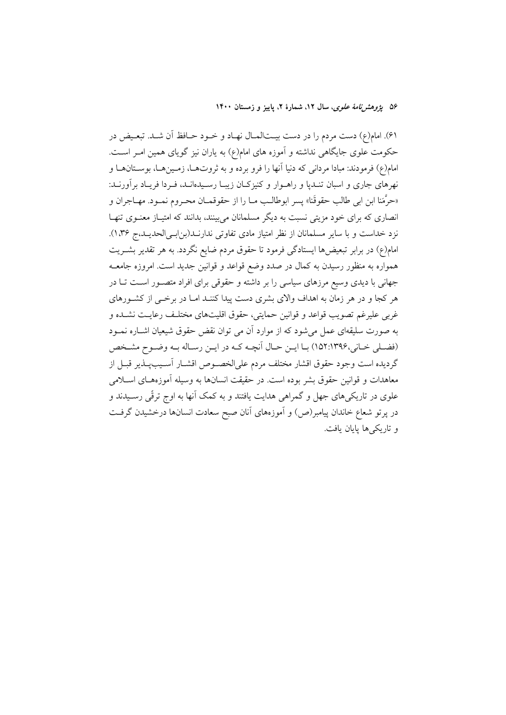۵۶ یژ*وهش نامهٔ علوی*، سال ۱۲، شمارهٔ ۲، پاییز و زمستان ۱۴۰۰

۶۱). امام(ع) دست مردم را در دست بیــتالمـال نهـاد و خــود حــافظ آن شــد. تبعــیض در حکومت علوی جایگاهی نداشته و آموزه های امام(ع) به یاران نیز گویای همین امـر اسـت. امام(ع) فرمودند: مبادا مردانی که دنیا آنها را فرو برده و به ثروتهـا، زمـینهـا، بوســتانهـا و نهرهای جاری و اسبان تنـدپا و راهـوار و کنیزکـان زیبـا رسـیدهانـد، فـردا فریـاد برآورنـد: «حرَّمَنا ابن ابي طالب حقوقَنا» پسر ابوطالـب مــا را از حقوقمــان محــروم نمــود. مهــاجران و انصاری که برای خود مزیتی نسبت به دیگر مسلمانان میبینند، بدانند که امتیـاز معنـوی تنهـا نزد خداست و با سایر مسلمانان از نظر امتیاز مادی تفاوتی ندارنـد(بن!بـیالحدیـد،ج ۱۳۶). امام(ع) در برابر تبعیضها ایستادگی فرمود تا حقوق مردم ضایع نگردد. به هر تقدیر بشــریت همواره به منظور رسیدن به کمال در صدد وضع قواعد و قوانین جدید است. امروزه جامعــه جهانی با دیدی وسیع مرزهای سیاسی را بر داشته و حقوقی برای افراد متصـور اسـت تــا در هر کجا و در هر زمان به اهداف والای بشری دست پیدا کننـد امـا در برخــی از کشــورهای غربي عليرغم تصويب قواعد و قوانين حمايتي، حقوق اقليتهاي مختلـف رعايـت نشـده و به صورت سلیقهای عمل میشود که از موارد آن می توان نقض حقوق شیعیان اشـاره نمــود (فضلي خاني،١٣٩۶:١٥٢) با ايـن حـال أنچـه كـه در ايـن رسـاله بـه وضـوح مشـخص گردیده است وجود حقوق اقشار مختلف مردم علیالخصوص اقشـار آسـیبپـذیر قبـل از معاهدات و قوانین حقوق بشر بوده است. در حقیقت انسانها به وسیله آموزههـای اســلامی علوی در تاریکیهای جهل و گمراهی هدایت یافتند و به کمک آنها به اوج ترقّی رسـیدند و در پرتو شعاع خاندان پیامبر(ص) و آموزههای آنان صبح سعادت انسانها درخشیدن گرفت و تاريكي ها پايان يافت.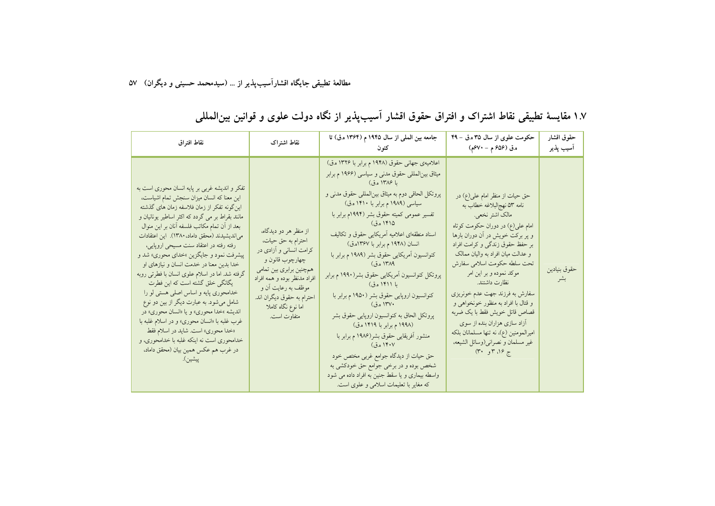| نقاط افتراق                                                                                                                                                                                                                                                                                                                                                                                                                                                                                                                                                                                                                                                                                                                                                                                                                               | نقاط اشتراك                                                                                                                                                                                                                                   | جامعه بين الملي از سال ١٩۴۵ م (١٣۶۴ ه.ق) تا<br>کنه ن                                                                                                                                                                                                                                                                                                                                                                                                                                                                                                                                                                                                                                                                                                                                                                                                                   | حکومت علوی از سال ۳۵ ه.ق - ۴۹<br>ه.ق (۵۶م م – ۶۷۰م)                                                                                                                                                                                                                                                                                                                                                                                                                                                                                                   | حقوق اقشار<br>أسيب پذير |
|-------------------------------------------------------------------------------------------------------------------------------------------------------------------------------------------------------------------------------------------------------------------------------------------------------------------------------------------------------------------------------------------------------------------------------------------------------------------------------------------------------------------------------------------------------------------------------------------------------------------------------------------------------------------------------------------------------------------------------------------------------------------------------------------------------------------------------------------|-----------------------------------------------------------------------------------------------------------------------------------------------------------------------------------------------------------------------------------------------|------------------------------------------------------------------------------------------------------------------------------------------------------------------------------------------------------------------------------------------------------------------------------------------------------------------------------------------------------------------------------------------------------------------------------------------------------------------------------------------------------------------------------------------------------------------------------------------------------------------------------------------------------------------------------------------------------------------------------------------------------------------------------------------------------------------------------------------------------------------------|-------------------------------------------------------------------------------------------------------------------------------------------------------------------------------------------------------------------------------------------------------------------------------------------------------------------------------------------------------------------------------------------------------------------------------------------------------------------------------------------------------------------------------------------------------|-------------------------|
| تفکر و اندیشه غربی بر پایه انسان محوری است به<br>این معنا که انسان میزان سنجش تمام اشیاست،<br>این گونه تفکر از زمان فلاسفه زمان های گذشته<br>مانند بقراط بر می گردد که اکثر اساطیر یونانیان و<br>بعد از آن تمام مكاتب فلسفه أنان بر اين منوال<br>می ندیشیدند (محقق داماد، ۱۳۸۰). این اعتقادات<br>رفته رفته در اعتقاد سنت مسیحی اروپایی،<br>پیشرفت نمود و جایگزین »خدای محوری» شد و<br>خدا بدین معنا در خدمت انسان و نیازهای او<br>گرفته شد. اما در اسلام علوی انسان با فطرتی روبه<br>یگانگی خلق گشته است که این فطرت<br>خدامحوری پایه و اساس اصلی هستی لو را<br>شامل میشود. به عبارت دیگر از بین دو نوع<br>اندیشه »خدا محوری» و یا «انسان محوری» در<br>غرب غلبه با «انسان محوری» و در اسلام غلبه با<br>«خدا محوري» است. شايد در اسلام فقط<br>خدامحوری است نه اینکه غلبه با خدامحوری، و<br>در غرب هم عکس همین بیان (محقق داماد،<br>ييشين). | از منظر هر دو دیدگاه،<br>احترام به حق حیات،<br>کرامت انسانی و آزادی در<br>چهارچوب قانون و<br>همچنین برابری بین تمامی<br>افراد مدنظر بوده و همه افراد<br>موظف به رعایت آن و<br>احترام به حقوق دیگران اند.<br>اما نوع نگاه کاملا<br>متفاوت است. | اعلامیهی جهانی حقوق (۱۹۴۸ م برابر با ۱۳۲۶ ه.ق)<br>میثاق بین لمللی حقوق مدنی و سیاسی (۱۹۶۶ م برابر<br>با ۱۳۸۶ ه.ق)<br>پروتکل الحاقی دوم به میثاق بینالمللی حقوق مدنی و<br>سیاسی (۱۹۸۹ م برابر با ۱۴۱۰ ه.ق)<br>تفسیر عمومی کمیته حقوق بشر (۱۹۹۴م برابر با<br>۱۴۱۵ ه.ق)<br>اسناد منطقهای اعلامیه آمریکایی حقوق و تکالیف<br>انسان (۱۹۴۸ م برابر با ۱۳۶۷ه.ق)<br>کنوانسیون أمریکایی حقوق بشر (۱۹۸۹ م برابر با<br>۱۳۸۹ ه.ق)<br>پروتکل کنوانسیون أمریکایی حقوق بشر(۱۹۹۰ م برابر<br>با ۱۴۱۱ ه.ق)<br>کنوانسیون اروپایی حقوق بشر (۱۹۵۰ م برابر با<br>۱۳۷۰ ه.ق)<br>پروتکل الحاق به کنوانسیون اروپایی حقوق بشر<br>(۱۹۹۸ م برابر با ۱۴۱۹ ه.ق)<br>منشور أفريقايي حقوق بشر(۱۹۸۶ م برابر با<br>۱۴۰۷ ه.ق)<br>حق حیات از دیدگاه جوامع غربی مختص خود<br>شخص بوده و در برخی جوامع حق خودکشی به<br>واسطه بیماری و یا سقط جنین به افراد داده می شود<br>که مغایر با تعلیمات اسلامی و علوی است. | حق حیات از منظر امام علی(ع) در<br>نامه ۵۳ نهج لبلاغه خطاب به<br>مالک اشتر نخعی.<br>امام علي(ع) در دوران حکومت کوتاه<br>و پر برکت خویش در آن دوران بارها<br>بر حفظ حقوق زندگی و کرامت افراد<br>و عدالت میان افراد به والیان ممالک<br>تحت سلطه حکومت اسلامی سفارش<br>موكد نموده و بر اين امر<br>نظارت داشتند.<br>سفارش به فرزند جهت عدم خونریزی<br>و قتال با افراد به منظور خونخواهی و<br>قصاص قاتل خويش فقط با يک ضربه<br>آزاد سازی هزاران بنده از سوی<br>امیرالمومنین (ع)، نه تنها مسلمانان بلکه<br>غير مسلمان و نصراني(وسائل الشيعه،<br>ج ۱۶، ۳و ۳۰) | حقوق بنيادين<br>بشر     |

۱.۷ مقایسهٔ تطبیقی نقاط اشتراک و افتراق حقوق اقشار آسیبپذیر از نگاه دولت علوی و قوانین بینالمللی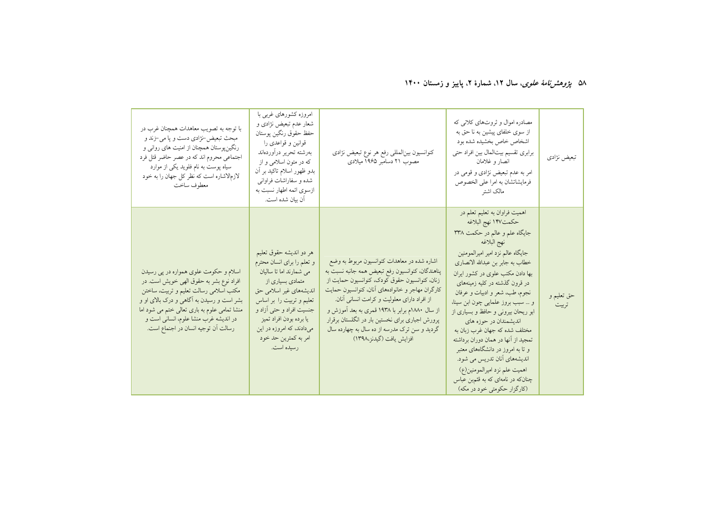#### ۵۸ *یژوهشرنامهٔ علوی*، سال ۱۲، شمارهٔ ۲، پاییز و زمستان ۱۴۰۰

| با توجه به تصويب معاهدات همچنان غرب در<br>مبحث تبعیض-نژادی دست و پا می-زند و<br>رنگینپوستان همچنان از امنیت های روانی و<br>اجتماعی محروم اند که در عصر حاضر قتل فرد<br>سیاه پوست به نام فلوید یکی از موارد<br>لازم لاشاره است كه نظر كل جهان را به خود<br>معطوف ساخت                                    | امروزه کشورهای غربی با<br>شعار عدم تبعیض نژادی و<br>حفظ حقوق رنگين پوستان<br>قوانین و قواعدی را<br>بهرشته تحرير درأوردهاند<br>که در متون اسلامی و از<br>بدو ظهور اسلام تاکید بر أن<br>شده و سفاراشات فراوانی<br>ازسوی ائمه اطهار نسبت به<br>آن بيان شده است.                          | كنوانسيون بينالمللي رفع هر نوع تبعيض نژادي<br>مصوب ۲۱ دسامبر ۱۹۶۵ میلادی                                                                                                                                                                                                                                                                                                                                                             | مصادره اموال و ثروتهای کلانی که<br>از سوی خلفای پیشین به نا حق به<br>اشخاص خاص بخشيده شده بود<br>برابري تقسيم بيتالمال بين افراد حتى<br>انصار و غلامان<br>امر به عدم تبعیض نژادی و قومی در<br>فرمایشاتشان به امرا علی الخصوص<br>مالک اشتر                                                                                                                                                                                                                                                                                                                                                                                                     | تبعيض نژادي         |
|---------------------------------------------------------------------------------------------------------------------------------------------------------------------------------------------------------------------------------------------------------------------------------------------------------|---------------------------------------------------------------------------------------------------------------------------------------------------------------------------------------------------------------------------------------------------------------------------------------|--------------------------------------------------------------------------------------------------------------------------------------------------------------------------------------------------------------------------------------------------------------------------------------------------------------------------------------------------------------------------------------------------------------------------------------|-----------------------------------------------------------------------------------------------------------------------------------------------------------------------------------------------------------------------------------------------------------------------------------------------------------------------------------------------------------------------------------------------------------------------------------------------------------------------------------------------------------------------------------------------------------------------------------------------------------------------------------------------|---------------------|
| اسلام و حکومت علوی همواره در پی رسیدن<br>افراد نوع بشر به حقوق الهي خويش است. در<br>مکتب اسلامی رسالت تعلیم و تربیت، ساختن<br>بشر است و رسیدن به آگاهی و درک بالای او و<br>منشا تمامی علوم به باری تعالی ختم می شود اما<br>در اندیشه غرب منشا علوم، انسانی است و<br>رسالت أن توجيه انسان در اجنماع است. | هر دو اندیشه حقوق تعلیم<br>و تعلم را برای انسان محترم<br>می شمارند اما تا سالیان<br>متمادی بسیاری از<br>اندیشههای غیر اسلامی حق<br>تعلیم و تربیت را بر اساس<br>جنسیت افراد و حتی آزاد و<br>يا برده بودن افراد تميز<br>میدادند، که امروزه در این<br>امر به کمترین حد خود<br>رسيده است. | اشاره شده در معاهدات کنوانسیون مربوط به وضع<br>پناهندگان، کنوانسیون رفع تبعیض همه جانبه نسبت به<br>زنان، كنوانسيون حقوق كودك، كنوانسيون حمايت از<br>كارگران مهاجر و خانوادههاي أنان، كنوانسيون حمايت<br>از افراد دارای معلولیت و کرامت انسانی أنان.<br>از سال ۱۸۸۰م برابر با ۱۹۳۸ قمری به بعد آموزش و<br>پرورش اجباری برای نخستین بار در انگلستان برقرار<br>گردید و سن ترک مدرسه از ده سال به چهارده سال<br>افزايش يافت (گيدنز،١٣٩٨) | اهمیت فراوان به تعلیم تعلم در<br>حكمت١۴٧ نهج البلاغه<br>جایگاه علم و عالم در حکمت ۳۳۸<br>نهج البلاغه<br>جايگاه عالم نزد امير اميرالمومنين<br>خطاب به جابر بن عبدالله الانصارى<br>بها دادن مکتب علوی در کشور ایران<br>در قرون گذشته در کلیه زمینههای<br>نجوم، طب، شعر و ادبیات و عرفان<br>و  سبب بروز علمایی چون ابن سینا،<br>ابو ریحان بیرونی و حافظ و بسیاری از<br>اندیشمندان در حوزه های<br>مختلف شده كه جهان غرب زبان به<br>تمجید از انها در همان دوران برداشته<br>و تا به امروز در دانشگاههای معتبر<br>اندیشههای أنان تدریس می شود.<br>اهميت علم نزد اميرالمومنين(ع)<br>چنانکه در نامهای که به قثم.بن عباس<br>(کارگزار حکومتی خود در مکه) | حق تعليم و<br>تربيت |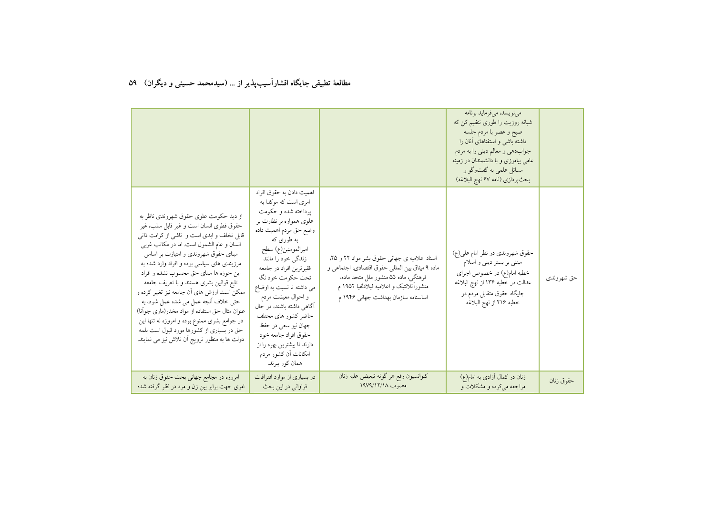|                                                                                                                                                                                                                                                                                                                                                                                                                                                                                                                                                                                                                                                  |                                                                                                                                                                                                                                                                                                                                                                                                                                                                         |                                                                                                                                                                                                                             | می نویسد، می فرماید برنامه<br>شبانه روزیت را طوری تنظیم کن که<br>صبح و عصر با مردم جلسه<br>داشته باشی و استفتاهای أنان را<br>جوابدهي و معالم ديني را به مردم<br>عامی بیاموزی و با دانشمندان در زمینه<br>مسائل علمي به گفتوگو و<br>بحثپردازي (نامه ۶۷ نهج البلاغه) |            |
|--------------------------------------------------------------------------------------------------------------------------------------------------------------------------------------------------------------------------------------------------------------------------------------------------------------------------------------------------------------------------------------------------------------------------------------------------------------------------------------------------------------------------------------------------------------------------------------------------------------------------------------------------|-------------------------------------------------------------------------------------------------------------------------------------------------------------------------------------------------------------------------------------------------------------------------------------------------------------------------------------------------------------------------------------------------------------------------------------------------------------------------|-----------------------------------------------------------------------------------------------------------------------------------------------------------------------------------------------------------------------------|-------------------------------------------------------------------------------------------------------------------------------------------------------------------------------------------------------------------------------------------------------------------|------------|
| از دید حکومت علوی حقوق شهروندی ناظر به<br>حقوق فطرى انسان است و غير قابل سلب، غير<br>قابل تخلف و ابدی است و  ناشی از کرامت ذاتی<br>انسان و عام الشمول است. اما در مکاتب غربی<br>مبنای حقوق شهروندی و امتیازت بر اساس<br>مرزیندی های سیاسی بوده و افراد وارد شده به<br>این حوزه ها مبنای حق محسوب نشده و افراد<br>تابع قوانین بشری هستند و با تعریف جامعه<br>ممکن است ارزش های ان جامعه نیز تغییر کرده و<br>حتى خلاف أنچه عمل مى شده عمل شود، به<br>عنوان مثال حق استفاده از مواد مخدر(ماری جوانا)<br>در جوامع بشری ممنوع بوده و امروزه نه تنها این<br>حق در بسیاری از کشورها مورد قبول است بلمه<br>دولت ها به منظور ترویج أن تلاش نیز می نمایند. | اهميت دادن به حقوق افراد<br>امری است که موکدا به<br>پرداخته شده و حکومت<br>علوی همواره بر نظارت بر<br>وضع حق مردم اهميت داده<br>به طوري که<br>اميرالمومنين(ع) سطح<br>زندگی خود را مانند<br>فقيرترين افراد در جامعه<br>تحت حكومت خود نگه<br>می داشته تا نسبت به اوضاع<br>و احوال معیشت مردم<br>آگاهی داشته باشند، در حال<br>حاضر كشور هاى محتلف<br>جهان نیز سعی در حفظ<br>حقوق افراد جامعه خود<br>دارند تا بیشترین بهره را از<br>امکانات أن کشور مردم<br>همان كور ببرند. | اسناد اعلامیه ی جهانی حقوق بشر مواد ۲۲ و ۲۵،<br>ماده ۹ میثاق بین المللی حقوق اقتصادی، اجتماعی و<br>فرهنگی، ماده ۵۵ منشور ملل متحد ماده،<br>منشوراًتلانتیک و اعلامیه فیلادلفیا ۱۹۵۲ م<br>اساسنامه سازمان بهداشت جهانی ۱۹۴۶ م | حقوق شهروندی در نظر امام علی(ع)<br>مبتنی بر بستر دینی و اسلام<br>خطبه امام(ع) در خصوص اجراي<br>عدالت در خطبه ۱۳۶ از نهج البلاغه<br>جایگاه حقوق متقابل مردم در<br>خطبه ٢١۶ از نهج البلاغه                                                                          | حق شهروندي |
| امروزه در مجامع جهانی بحث حقوق زنان به<br>امری جهت برابر بین زن و مرد در نظر گرفته شده                                                                                                                                                                                                                                                                                                                                                                                                                                                                                                                                                           | در بسیاری از موارد افتراقات<br>فراوانی در این بحث                                                                                                                                                                                                                                                                                                                                                                                                                       | كنوانسيون رفع هر گونه تبعيض عليه زنان<br>مصوب ١٩٧٩/١٢/١٨                                                                                                                                                                    | زنان در کمال آزادی به امام(ع)<br>مراجعه میکرده و مشکلات و                                                                                                                                                                                                         | حقوق زنان  |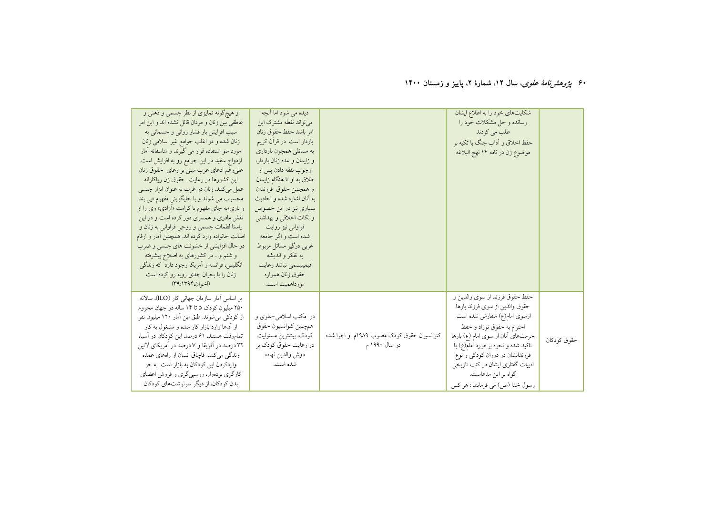۶۰ *پژوهشرنامهٔ علوی*، سال ۱۲، شمارهٔ ۲، پاییز و زمستان ۱۴۰۰

| و هیچگونه تمایزی از نظر جسمی و ذهنی و<br>عاطفی بین زنان و مردان قائل نشده اند و این امر<br>سبب افزایش بار فشار روانی و جسمانی به<br>زنان شده و در اغلب جوامع غیر اسلامی زنان<br>مورد سو استفاده قرار می گیرند و متاسفانه آمار<br>ازدواج سفید در این جوامع رو به افزایش است.<br>علی رغم ادعای غرب مبنی بر رعای حقوق زنان<br>این کشورها در رعایت حقوق زن ریاکارانه<br>عمل میکنند. زنان در غرب به عنوان ابزار جنسی<br>محسوب می شوند و با جایگزینی مفهوم «بی بند<br>و باری»به جای مفهوم با کرامت «آزادی» وی را از<br>نقش مادری و همسری دور کرده است و در این<br>راستا لطمات جسمي و روحي فراواني به زنان و<br>اصالت خانواده وارد كرده اند. همچنین أمار و ارقام<br>در حال افزایشی از خشونت های جنسی و ضرب<br>و شتم و… در کشورهای به اصلاح پیشرفته<br>انگلیس، فرانسه و آمریکا وجود دارد که زندگی<br>زنان را با بحران جدی روبه رو کرده است<br>(اخوان، ۱۳۹۴:۱۳۹) | دیده می شود اما آنچه<br>میتواند نقطه مشترک این<br>امر باشد حفظ حقوق زنان<br>باردار است. در قرأن كريم<br>به مسائلي همچون بارداري<br>و زایمان و عده زنان باردار،<br>وجوب نفقه دادن پس از<br>طلاق به او تا هنگام زایمان<br>و همچنین حقوق فرزندان<br>به انان اشاره شده و احادیث<br>بسیاری نیز در این خصوص<br>و نکات اخلاقی و بهداشتی<br>فراوانی نیز روایت<br>شده است و اگر جامعه<br>غربی درگیر مسائل مربوط<br>به تفکر و اندیشه<br>فيمينيسمي نباشد رعايت<br>حقوق زنان همواره<br>مورداهميت است. |                                                            | شکایتهای خود را به اطلاع ایشان<br>رسانده و حل مشکلات خود را<br>طلب می کردند<br>حفظ اخلاق و أداب جنگ با تكيه بر<br>موضوع زن در نامه ۱۴ نهج البلاغه                                                                                                                                                                                            |             |
|---------------------------------------------------------------------------------------------------------------------------------------------------------------------------------------------------------------------------------------------------------------------------------------------------------------------------------------------------------------------------------------------------------------------------------------------------------------------------------------------------------------------------------------------------------------------------------------------------------------------------------------------------------------------------------------------------------------------------------------------------------------------------------------------------------------------------------------------------------|-------------------------------------------------------------------------------------------------------------------------------------------------------------------------------------------------------------------------------------------------------------------------------------------------------------------------------------------------------------------------------------------------------------------------------------------------------------------------------------------|------------------------------------------------------------|----------------------------------------------------------------------------------------------------------------------------------------------------------------------------------------------------------------------------------------------------------------------------------------------------------------------------------------------|-------------|
| بر اساس أمار سازمان جهانی کار (ILO)، سالانه<br>۲۵۰ میلیون کودک ۵ تا ۱۴ ساله در جهان محروم<br>از کودکی میشوند. طبق این آمار ۱۲۰ میلیون نفر<br>از آنها وارد بازار کار شده و مشغول به کار<br>تماموقت هستند. ۶۱ درصد این کودکان در آسیا،<br>۳۲ درصد در آفریقا و ۷ درصد در آمریکای لاتین<br>زندگی میکنند. قاچاق انسان از راههای عمده<br>واردکردن این کودکان به بازار است. به جز<br>کارگري بردهوار، روسپي گري و فروش اعضاي<br>بدن کودکان، از دیگر سرنوشتهای کودکان                                                                                                                                                                                                                                                                                                                                                                                            | در ًمکتب اسلامی-علوی و<br>همچنين كنوانسيون حقوق<br>كودك، بيشترين مسئوليت<br>در رعایت حقوق کودک بر<br>دوش والدين نهاده<br>شده است.                                                                                                                                                                                                                                                                                                                                                         | کنوانسیون حقوق کودک مصوب ۱۹۸۹م و اجرا شده<br>در سال ۱۹۹۰ م | حفظ حقوق فرزند از سوى والدين و<br>حقوق والدين از سوى فرزند بارها<br>ازسوی امام(ع) سفارش شده است.<br>احترام به حقوق نوزاد و حفظ<br>حرمتهای آنان از سوی امام (ع) بارها<br>تاکید شده و نحوه برخورد امام(ع) با<br>فرزندانشان در دوران کودکی و نوع<br>ادبیات گفتاری ایشان در کتب تاریخی<br>گواه بر این مدعاست.<br>رسول خدا (ص) مي فرمايند : هر كس | حقوق كودكان |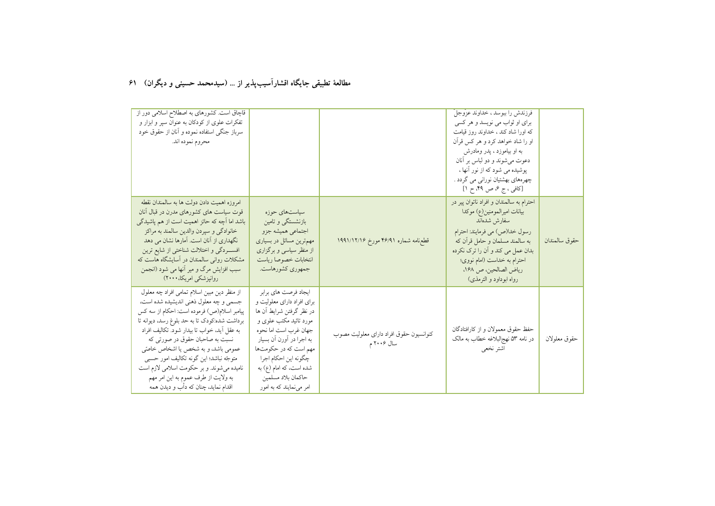| قاچاق است. کشورهای به اصطلاح اسلامی دور از<br>تفکرات علوی از کودکان به عنوان سپر و ابزار و<br>سرباز جنگی استفاده نموده و أنان از حقوق خود<br>محروم نموده اند.                                                                                                                                                                                                                                                                                                                       |                                                                                                                                                                                                                                                                                             |                                                       | فرزندش را ببوسد ، خداوند عزوجل<br>برای او ثواب می نویسد و هر کسی<br>که اورا شاد کند ، خداوند روز قیامت<br>او را شاد خواهد کرد و هر کس قرأن<br>به او بیاموزد ، یدر ومادرش<br>دعوت می شوند و دو لباس بر آنان<br>پوشیده می شود که از نور آنها ،<br>چهرههای بهشتیان نورانبی می گردد .<br>[کافی ، ج ۶ ص ۴۹ ح ۱] |               |
|-------------------------------------------------------------------------------------------------------------------------------------------------------------------------------------------------------------------------------------------------------------------------------------------------------------------------------------------------------------------------------------------------------------------------------------------------------------------------------------|---------------------------------------------------------------------------------------------------------------------------------------------------------------------------------------------------------------------------------------------------------------------------------------------|-------------------------------------------------------|------------------------------------------------------------------------------------------------------------------------------------------------------------------------------------------------------------------------------------------------------------------------------------------------------------|---------------|
| امروزه اهميت دادن دولت ها به سالمندان نقطه<br>قوت سیاست های کشورهای مدرن در قبال أنان<br>باشد اما آچه که حائز اهمیت است از هم پاشیدگی<br>خانوادگي و سيردن والدين سالمند به مراكز<br>نگهداری از آنان است. آمارها نشان می دهد<br>افســـردگي و اختلالت شناختي از شايع ترين<br>مشکلات روانی سالمندان در آسایشگاه هاست که<br>سبب افزایش مرگ و میر آنها می شود (انجمن<br>روانپزشکی امریکا، ۲۰۰۰)                                                                                          | سیاستهای حوزه<br>بازنشستگی و تامین<br>اجتماعي هميشه جزو<br>مهم ترین مسائل در بسیاری<br>از منظر سیاسی و برگزاری<br>انتخابات خصوصا رياست<br>جمهوری کشورهاست.                                                                                                                                  | قطع،نامه شماره ۴۶/۹۱ مورخ ۱۹۹۱/۱۲/۱۶                  | احترام به سالمندان و افراد ناتوان پیر در<br>بيانات اميرالمومنين(ع) موكدا<br>سفارش شدهاند<br>رسول خدا(ص) مي فرمايند: احترام<br>به سالمند مسلمان و حامل قرآن که<br>بدان عمل می کند و آن را ترک نکرده<br>احترام به خداست (امام نووی؛<br>رياض الصالحين، ص ١۶٨،<br>رواه ابوداود و الترمذي)                      | حقوق سالمندان |
| از منظر دین مبین اسلام تمامی افراد چه معلول<br>جسمي و چه معلول ذهني انديشيده شده است،<br>پیامبر اسلام(ص) فرموده است: احکام از سه کس<br>برداشت شده:کودک تا به حد بلوغ رسد، دیوانه تا<br>به عقل أيد، خواب تا بيدار شود. تكاليف افراد<br>نسبت به صاحبان حقوق در صورتی که<br>عمومی باشد، و به شخص یا اشخاص خاصتی<br>متوجّه نباشد؛ این گونه تکالیف امور حسببی<br>نامیده میشوند. و بر حکومت اسلامی لازم است<br>به ولايت از طرف عموم به اين امر مهم<br>اقدام نماید، چنان که دأب و دیدن همه | ايجاد فرصت هاى برابر<br>برای افراد دارای معلولیت و<br>در نظر گرفتن شرایط آن ها<br>مورد تائید مکتب علوی و<br>جهان غرب است اما نحوه<br>به اجرا در أورن أن بسيار<br>مهم است که در حکومتها<br>چگونه اين احكام اجرا<br>شده است، که امام (ع) به<br>حاكمان بلاد مسلمين<br>امر می نمایند که به امور | كنوانسيون حقوق افراد داراي معلوليت مصوب<br>سال ۲۰۰۶ م | حفظ حقوق معمولان و از کارافتادگان<br>در نامه ۵۳ نهج لبلاغه خطاب به مالک<br>اشتر نخعي                                                                                                                                                                                                                       | حقوق معلولان  |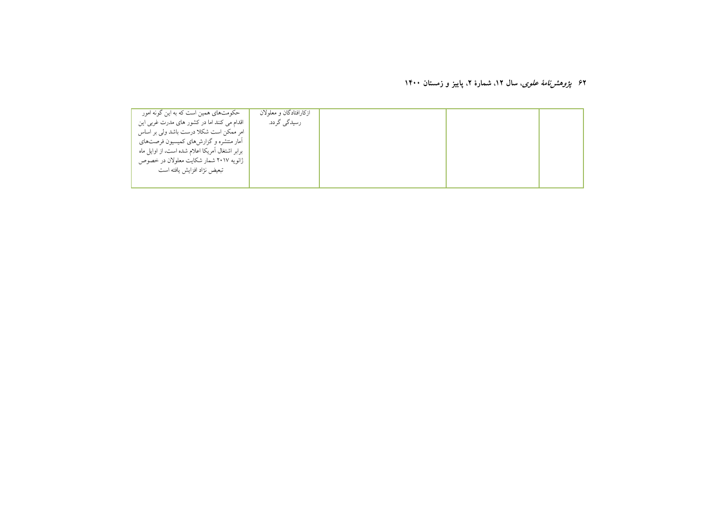#### ۶۲ *پژوهشرنامهٔ علوی*، سال ۱۲، شمارهٔ ۲، پاییز و زمستان ۱۴۰۰

| حکومتهای همین است که به این گونه امور<br>اقدام می کنند اما در کشور های مدرت غربی این<br>امر ممکن است شکلا درست باشد ولی بر اساس<br>آمار منتشره و گزارشهای کمیسیون فرصتهای<br>برابر اشتغال آمریکا اعلام شده است، از اوایل ماه<br>ژانویه ۲۰۱۷ شمار شکایت معلولان در خصوص<br>تبعيض نژاد افزايش يافته است | ازكارافتادگان و معلولان<br>رسیدگی گردد. |  |  |
|-------------------------------------------------------------------------------------------------------------------------------------------------------------------------------------------------------------------------------------------------------------------------------------------------------|-----------------------------------------|--|--|
|                                                                                                                                                                                                                                                                                                       |                                         |  |  |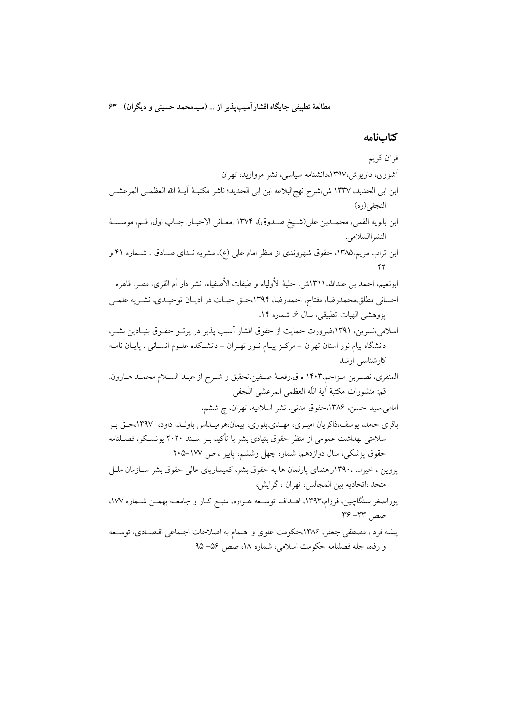كتابنامه

قرآن کریم آشوری، داریوش،۱۳۹۷،دانشنامه سیاسی، نشر مروارید، تهران ابن ابي الحديد، ١٣٣٧ ش،شرح نهجالبلاغه ابن ابي الحديد؛ ناشر مكتبـهٔ آيــهٔ الله العظمــي المرعشــي النجفي(ره) ابن بابويه القمي، محمـدبن على(شـيخ صـدوق)، ١٣٧٤ .معـاني الاخبـار. چـاپ اول، قـم، موسسـهٔ النشر االسلامي. ابن تراب مریم،۱۳۸۵، حقوق شهروندی از منظر امام علی (ع)، مشریه نـدای صـادق ، شـماره ۴۱ و ابونعيم، احمد بن عبدالله،١٣١١ش، حليهٔ الأولياء و طبقات الأصفياء، نشر دار أم القرى، مصر، قاهره احسانی مطلق،محمدرضا، مفتاح، احمدرضا، ۱۳۹۴،حـق حیـات در ادیـان توحیـدی، نشـریه علمـی یژوهشی الهیات تطبیقی، سال ۶، شماره ۱۴، اسلامی،نسرین، ۱۳۹۱،ضرورت حمایت از حقوق اقشار آسیب پذیر در پرتـو حقـوق بنیـادین بشـر، دانشگاه پیام نور استان تهران –مرکـز پیـام نــور تهــران – دانشــکده علــوم انســانی . پایــان نامــه کارشناسی ارشد المنقري، نصـربن مـزاحم.١۴٠٣ ه ق.وقعــهٔ صـفين.تحقيق و شـرح از عبـد السـلام محمـد هـارون. قم: منشورات مكتبة آية اللّه العظمى المرعشى النّجفي امامی،سید حسن، ۱۳۸۶،حقوق مدنی، نشر اسلامیه، تهران، چ ششم، باقری حامد، یوسف،ذاکریان امیـری، مهـدی،بلوری، پیمان،هرمیـداس باونـد، داود، ١٣٩٧،حـق بـر سلامتی بهداشت عمومی از منظر حقوق بنیادی بشر با تأکید بــر ســند ۲۰۲۰ یونســکو، فصــلنامه حقوق پزشکی، سال دوازدهم، شماره چهل وششم، پاییز ، ص ۱۷۷–۲۰۵ یروین ، خیرا… ،۱۳۹۰راهنمای پارلمان ها به حقوق بشر، کمیساریای عالی حقوق بشر ســازمان ملــل متحد ،اتحاديه بين المجالس، تهران ، گرايش، پوراصغر سنگاچین، فرزام،۱۳۹۳، اهـداف توسـعه هـزاره، منبـع کـار و جامعـه بهمـن شـماره ۱۷۷، صص ٣٣- ٣۶ پیشه فرد ، مصطفی جعفر، ۱۳۸۶،حکومت علوی و اهتمام به اصلاحات اجتماعی اقتصـادی، توسـعه و رفاه، جله فصلنامه حکومت اسلامی، شماره ۱۸، صص ۵۶–۹۵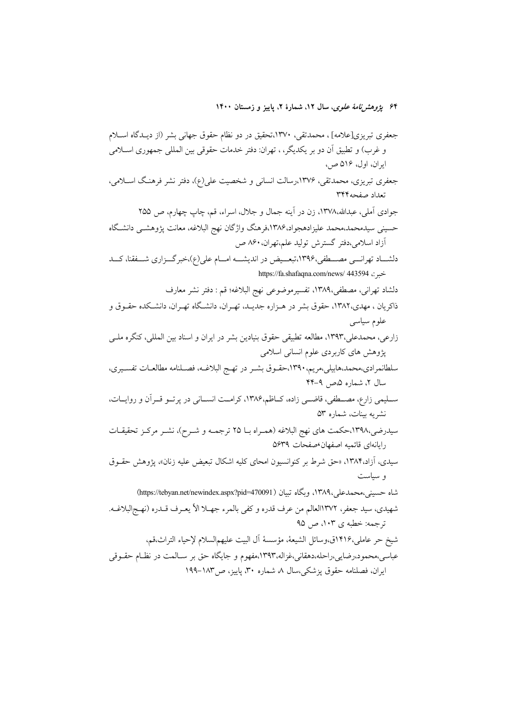۶۴ پ*ژوهشنامهٔ علوی*، سال ۱۲، شمارهٔ ۲، پاییز و زمستان ۱۴۰۰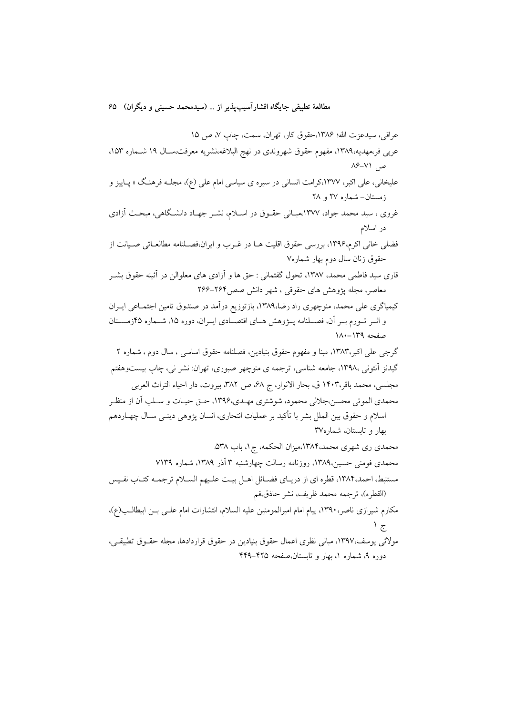عراقي، سيدعزت الله؛ ١٣٨۶،حقوق كار، تهران، سمت، چاپ ٧، ص ١٥ عربی فر،مهدیه،۱۳۸۹، مفهوم حقوق شهروندی در نهج البلاغه،نشریه معرفت،سـال ۱۹ شــماره ۱۵۳. ص ۷۱–۸۶ علیخانی، علی اکبر، ۱۳۷۷،کرامت انسانی در سیره ی سیاسی امام علی (ع)، مجلـه فرهنـگ » پـاییز و زمستان- شماره ۲۷ و ۲۸ غروی ، سید محمد جواد، ۱۳۷۷،مبــانی حقــوق در اســلام، نشــر جهــاد دانشــگاهی، مبحــث آزادی در اسلام فضلی خانی اکرم،۱۳۹۶، بررسی حقوق اقلیت هـا در غــرب و ایران،فصــلنامه مطالعــاتی صــیانت از حقوق زنان سال دوم بهار شماره٧ قاری سید فاطمی محمد، ۱۳۸۷، تحول گفتمانی : حق ها و آزادی های معلوالن در آئینه حقوق بشــر معاصر، مجله یژوهش های حقوقی ، شهر دانش صص۴۶۴–۲۶۶ کیمیاگری علی محمد، منوچهری راد رضا،۱۳۸۹، بازتوزیع درآمد در صندوق تامین اجتمـاعی ایـران و اثــر تــورم بــر آن، فصــلنامه پــژوهش هــاي اقتصــادي ايــران، دوره ۱۵، شــماره ۴۵زمســتان صفحه ١٣٩-١٨٠ گرجی علی اکبر،۱۳۸۳، مبنا و مفهوم حقوق بنیادین، فصلنامه حقوق اساسی ، سال دوم ، شماره ۲ گیدنز اَنتونی ،۱۳۹۸، جامعه شناسی، ترجمه ی منوچهر صبوری، تهران: نشر نی، چاپ بیستوهفتم مجلسي، محمد باقر،١۴٠٣ ق، بحار الانوار، ج 6٨، ص ٣٨٢، بيروت، دار احياء التراث العربي محمدي الموتى محسن،جلالي محمود، شوشتري مهـدي،۱۳۹۶، حـق حيـات و سـلب اَن از منظـر اسلام و حقوق بین الملل بشر با تأکید بر عملیات انتحاری، انسان پژوهی دینــی ســال چهــاردهـم بهار و تابستان، شماره۳۷ محمدی ری شهری محمد،۱۳۸۴،میزان الحکمه، ج۱، باب ۵۳۸. محمدی فومنی حسین،۱۳۸۹، روزنامه رسالت چهارشنبه ۳ آذر ۱۳۸۹، شماره ۷۱۳۹ مستنبط، احمد،١٣٨۴، قطره اي از دريـاي فضــائل اهــل بيـت علـيهم الســلام ترجمــه كتــاب نفـيس (القطره)، ترجمه محمد ظريف، نشر حاذق،قم مكارم شيرازي ناصر، ١٣٩٠، پيام امام اميرالمومنين عليه السلام، انتشارات امام علـي بـن ابيطالـب(ع)،  $\frac{1}{\sqrt{5}}$ مولائي يوسف،١٣٩٧، مباني نظري اعمال حقوق بنيادين در حقوق قراردادها، مجله حقــوق تطبيقــي، دوره ۹، شماره ۱، بهار و تابستان،صفحه ۴۲۵–۴۴۹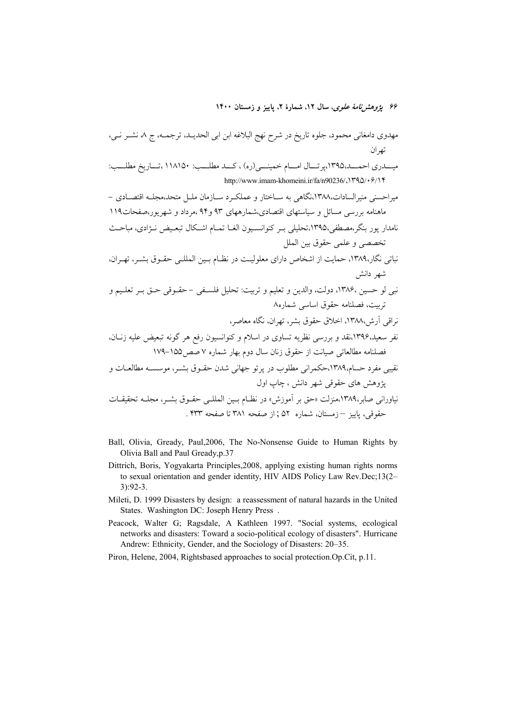۴۶ پژ*وهشنامهٔ علوی*، سال ۱۲، شمارهٔ ۲، پاییز و زمستان ۱۴۰۰

- Ball, Olivia, Gready, Paul, 2006, The No-Nonsense Guide to Human Rights by Olivia Ball and Paul Gready, p.37
- Dittrich, Boris, Yogyakarta Principles, 2008, applying existing human rights norms to sexual orientation and gender identity, HIV AIDS Policy Law Rev.Dec;13(2- $3):92-3.$
- Mileti, D. 1999 Disasters by design: a reassessment of natural hazards in the United States. Washington DC: Joseph Henry Press.
- Peacock, Walter G; Ragsdale, A Kathleen 1997. "Social systems, ecological networks and disasters: Toward a socio-political ecology of disasters". Hurricane Andrew: Ethnicity, Gender, and the Sociology of Disasters: 20–35.
- Piron, Helene, 2004, Rightsbased approaches to social protection.Op.Cit, p.11.